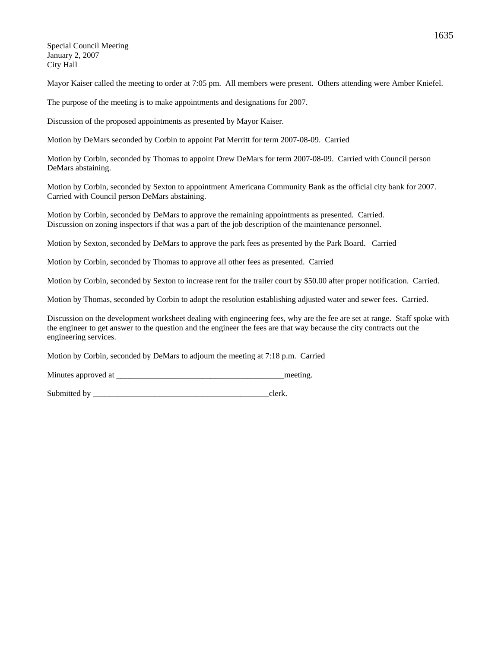Special Council Meeting January 2, 2007 City Hall

Mayor Kaiser called the meeting to order at 7:05 pm. All members were present. Others attending were Amber Kniefel.

The purpose of the meeting is to make appointments and designations for 2007.

Discussion of the proposed appointments as presented by Mayor Kaiser.

Motion by DeMars seconded by Corbin to appoint Pat Merritt for term 2007-08-09. Carried

Motion by Corbin, seconded by Thomas to appoint Drew DeMars for term 2007-08-09. Carried with Council person DeMars abstaining.

Motion by Corbin, seconded by Sexton to appointment Americana Community Bank as the official city bank for 2007. Carried with Council person DeMars abstaining.

Motion by Corbin, seconded by DeMars to approve the remaining appointments as presented. Carried. Discussion on zoning inspectors if that was a part of the job description of the maintenance personnel.

Motion by Sexton, seconded by DeMars to approve the park fees as presented by the Park Board. Carried

Motion by Corbin, seconded by Thomas to approve all other fees as presented. Carried

Motion by Corbin, seconded by Sexton to increase rent for the trailer court by \$50.00 after proper notification. Carried.

Motion by Thomas, seconded by Corbin to adopt the resolution establishing adjusted water and sewer fees. Carried.

Discussion on the development worksheet dealing with engineering fees, why are the fee are set at range. Staff spoke with the engineer to get answer to the question and the engineer the fees are that way because the city contracts out the engineering services.

Motion by Corbin, seconded by DeMars to adjourn the meeting at 7:18 p.m. Carried

Minutes approved at the meeting.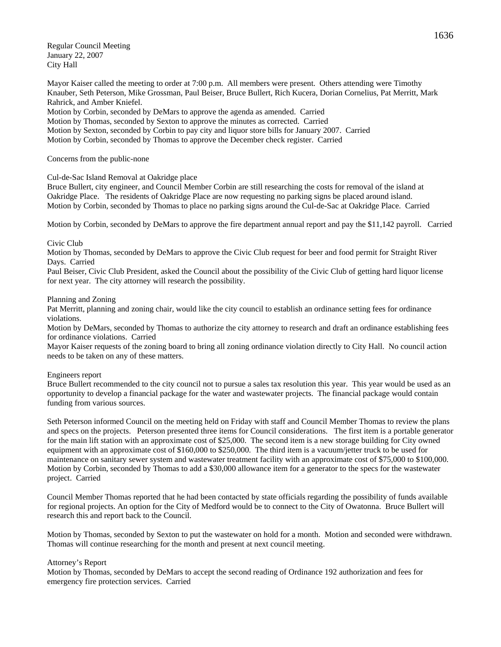Regular Council Meeting January 22, 2007 City Hall

Mayor Kaiser called the meeting to order at 7:00 p.m. All members were present. Others attending were Timothy Knauber, Seth Peterson, Mike Grossman, Paul Beiser, Bruce Bullert, Rich Kucera, Dorian Cornelius, Pat Merritt, Mark Rahrick, and Amber Kniefel.

Motion by Corbin, seconded by DeMars to approve the agenda as amended. Carried Motion by Thomas, seconded by Sexton to approve the minutes as corrected. Carried Motion by Sexton, seconded by Corbin to pay city and liquor store bills for January 2007. Carried Motion by Corbin, seconded by Thomas to approve the December check register. Carried

## Concerns from the public-none

# Cul-de-Sac Island Removal at Oakridge place

Bruce Bullert, city engineer, and Council Member Corbin are still researching the costs for removal of the island at Oakridge Place. The residents of Oakridge Place are now requesting no parking signs be placed around island. Motion by Corbin, seconded by Thomas to place no parking signs around the Cul-de-Sac at Oakridge Place. Carried

Motion by Corbin, seconded by DeMars to approve the fire department annual report and pay the \$11,142 payroll. Carried

# Civic Club

Motion by Thomas, seconded by DeMars to approve the Civic Club request for beer and food permit for Straight River Days. Carried

Paul Beiser, Civic Club President, asked the Council about the possibility of the Civic Club of getting hard liquor license for next year. The city attorney will research the possibility.

## Planning and Zoning

Pat Merritt, planning and zoning chair, would like the city council to establish an ordinance setting fees for ordinance violations.

Motion by DeMars, seconded by Thomas to authorize the city attorney to research and draft an ordinance establishing fees for ordinance violations. Carried

Mayor Kaiser requests of the zoning board to bring all zoning ordinance violation directly to City Hall. No council action needs to be taken on any of these matters.

## Engineers report

Bruce Bullert recommended to the city council not to pursue a sales tax resolution this year. This year would be used as an opportunity to develop a financial package for the water and wastewater projects. The financial package would contain funding from various sources.

Seth Peterson informed Council on the meeting held on Friday with staff and Council Member Thomas to review the plans and specs on the projects. Peterson presented three items for Council considerations. The first item is a portable generator for the main lift station with an approximate cost of \$25,000. The second item is a new storage building for City owned equipment with an approximate cost of \$160,000 to \$250,000. The third item is a vacuum/jetter truck to be used for maintenance on sanitary sewer system and wastewater treatment facility with an approximate cost of \$75,000 to \$100,000. Motion by Corbin, seconded by Thomas to add a \$30,000 allowance item for a generator to the specs for the wastewater project. Carried

Council Member Thomas reported that he had been contacted by state officials regarding the possibility of funds available for regional projects. An option for the City of Medford would be to connect to the City of Owatonna. Bruce Bullert will research this and report back to the Council.

Motion by Thomas, seconded by Sexton to put the wastewater on hold for a month. Motion and seconded were withdrawn. Thomas will continue researching for the month and present at next council meeting.

## Attorney's Report

Motion by Thomas, seconded by DeMars to accept the second reading of Ordinance 192 authorization and fees for emergency fire protection services. Carried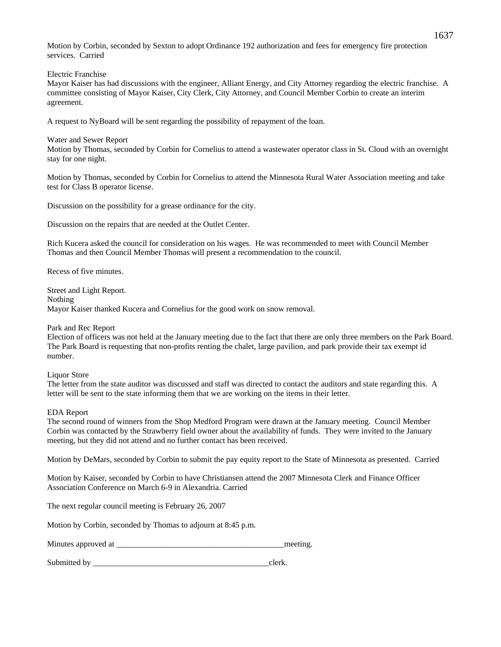Motion by Corbin, seconded by Sexton to adopt Ordinance 192 authorization and fees for emergency fire protection services. Carried

Electric Franchise

Mayor Kaiser has had discussions with the engineer, Alliant Energy, and City Attorney regarding the electric franchise. A committee consisting of Mayor Kaiser, City Clerk, City Attorney, and Council Member Corbin to create an interim agreement.

A request to NyBoard will be sent regarding the possibility of repayment of the loan.

Water and Sewer Report

Motion by Thomas, seconded by Corbin for Cornelius to attend a wastewater operator class in St. Cloud with an overnight stay for one night.

Motion by Thomas, seconded by Corbin for Cornelius to attend the Minnesota Rural Water Association meeting and take test for Class B operator license.

Discussion on the possibility for a grease ordinance for the city.

Discussion on the repairs that are needed at the Outlet Center.

Rich Kucera asked the council for consideration on his wages. He was recommended to meet with Council Member Thomas and then Council Member Thomas will present a recommendation to the council.

Recess of five minutes.

Street and Light Report. Nothing Mayor Kaiser thanked Kucera and Cornelius for the good work on snow removal.

## Park and Rec Report

Election of officers was not held at the January meeting due to the fact that there are only three members on the Park Board. The Park Board is requesting that non-profits renting the chalet, large pavilion, and park provide their tax exempt id number.

Liquor Store

The letter from the state auditor was discussed and staff was directed to contact the auditors and state regarding this. A letter will be sent to the state informing them that we are working on the items in their letter.

# EDA Report

The second round of winners from the Shop Medford Program were drawn at the January meeting. Council Member Corbin was contacted by the Strawberry field owner about the availability of funds. They were invited to the January meeting, but they did not attend and no further contact has been received.

Motion by DeMars, seconded by Corbin to submit the pay equity report to the State of Minnesota as presented. Carried

Motion by Kaiser, seconded by Corbin to have Christiansen attend the 2007 Minnesota Clerk and Finance Officer Association Conference on March 6-9 in Alexandria. Carried

The next regular council meeting is February 26, 2007

Motion by Corbin, seconded by Thomas to adjourn at 8:45 p.m.

Minutes approved at \_\_\_\_\_\_\_\_\_\_\_\_\_\_\_\_\_\_\_\_\_\_\_\_\_\_\_\_\_\_\_\_\_\_\_\_\_\_\_\_\_meeting.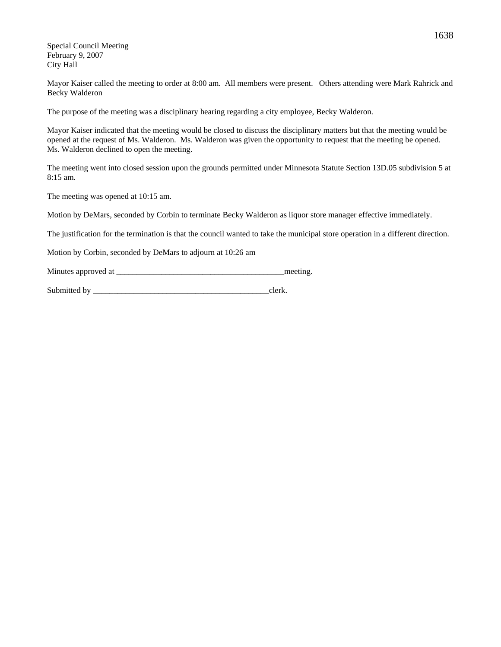Special Council Meeting February 9, 2007 City Hall

Mayor Kaiser called the meeting to order at 8:00 am. All members were present. Others attending were Mark Rahrick and Becky Walderon

The purpose of the meeting was a disciplinary hearing regarding a city employee, Becky Walderon.

Mayor Kaiser indicated that the meeting would be closed to discuss the disciplinary matters but that the meeting would be opened at the request of Ms. Walderon. Ms. Walderon was given the opportunity to request that the meeting be opened. Ms. Walderon declined to open the meeting.

The meeting went into closed session upon the grounds permitted under Minnesota Statute Section 13D.05 subdivision 5 at 8:15 am.

The meeting was opened at 10:15 am.

Motion by DeMars, seconded by Corbin to terminate Becky Walderon as liquor store manager effective immediately.

The justification for the termination is that the council wanted to take the municipal store operation in a different direction.

Motion by Corbin, seconded by DeMars to adjourn at 10:26 am

Minutes approved at  $\blacksquare$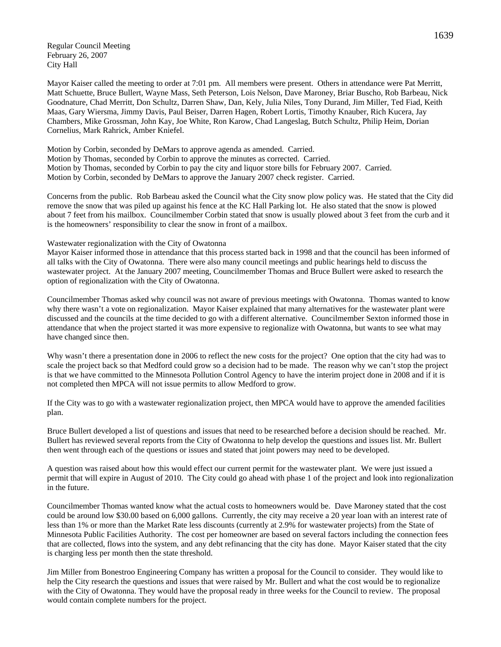Regular Council Meeting February 26, 2007 City Hall

Mayor Kaiser called the meeting to order at 7:01 pm. All members were present. Others in attendance were Pat Merritt, Matt Schuette, Bruce Bullert, Wayne Mass, Seth Peterson, Lois Nelson, Dave Maroney, Briar Buscho, Rob Barbeau, Nick Goodnature, Chad Merritt, Don Schultz, Darren Shaw, Dan, Kely, Julia Niles, Tony Durand, Jim Miller, Ted Fiad, Keith Maas, Gary Wiersma, Jimmy Davis, Paul Beiser, Darren Hagen, Robert Lortis, Timothy Knauber, Rich Kucera, Jay Chambers, Mike Grossman, John Kay, Joe White, Ron Karow, Chad Langeslag, Butch Schultz, Philip Heim, Dorian Cornelius, Mark Rahrick, Amber Kniefel.

Motion by Corbin, seconded by DeMars to approve agenda as amended. Carried. Motion by Thomas, seconded by Corbin to approve the minutes as corrected. Carried. Motion by Thomas, seconded by Corbin to pay the city and liquor store bills for February 2007. Carried. Motion by Corbin, seconded by DeMars to approve the January 2007 check register. Carried.

Concerns from the public. Rob Barbeau asked the Council what the City snow plow policy was. He stated that the City did remove the snow that was piled up against his fence at the KC Hall Parking lot. He also stated that the snow is plowed about 7 feet from his mailbox. Councilmember Corbin stated that snow is usually plowed about 3 feet from the curb and it is the homeowners' responsibility to clear the snow in front of a mailbox.

#### Wastewater regionalization with the City of Owatonna

Mayor Kaiser informed those in attendance that this process started back in 1998 and that the council has been informed of all talks with the City of Owatonna. There were also many council meetings and public hearings held to discuss the wastewater project. At the January 2007 meeting, Councilmember Thomas and Bruce Bullert were asked to research the option of regionalization with the City of Owatonna.

Councilmember Thomas asked why council was not aware of previous meetings with Owatonna. Thomas wanted to know why there wasn't a vote on regionalization. Mayor Kaiser explained that many alternatives for the wastewater plant were discussed and the councils at the time decided to go with a different alternative. Councilmember Sexton informed those in attendance that when the project started it was more expensive to regionalize with Owatonna, but wants to see what may have changed since then.

Why wasn't there a presentation done in 2006 to reflect the new costs for the project? One option that the city had was to scale the project back so that Medford could grow so a decision had to be made. The reason why we can't stop the project is that we have committed to the Minnesota Pollution Control Agency to have the interim project done in 2008 and if it is not completed then MPCA will not issue permits to allow Medford to grow.

If the City was to go with a wastewater regionalization project, then MPCA would have to approve the amended facilities plan.

Bruce Bullert developed a list of questions and issues that need to be researched before a decision should be reached. Mr. Bullert has reviewed several reports from the City of Owatonna to help develop the questions and issues list. Mr. Bullert then went through each of the questions or issues and stated that joint powers may need to be developed.

A question was raised about how this would effect our current permit for the wastewater plant. We were just issued a permit that will expire in August of 2010. The City could go ahead with phase 1 of the project and look into regionalization in the future.

Councilmember Thomas wanted know what the actual costs to homeowners would be. Dave Maroney stated that the cost could be around low \$30.00 based on 6,000 gallons. Currently, the city may receive a 20 year loan with an interest rate of less than 1% or more than the Market Rate less discounts (currently at 2.9% for wastewater projects) from the State of Minnesota Public Facilities Authority. The cost per homeowner are based on several factors including the connection fees that are collected, flows into the system, and any debt refinancing that the city has done. Mayor Kaiser stated that the city is charging less per month then the state threshold.

Jim Miller from Bonestroo Engineering Company has written a proposal for the Council to consider. They would like to help the City research the questions and issues that were raised by Mr. Bullert and what the cost would be to regionalize with the City of Owatonna. They would have the proposal ready in three weeks for the Council to review. The proposal would contain complete numbers for the project.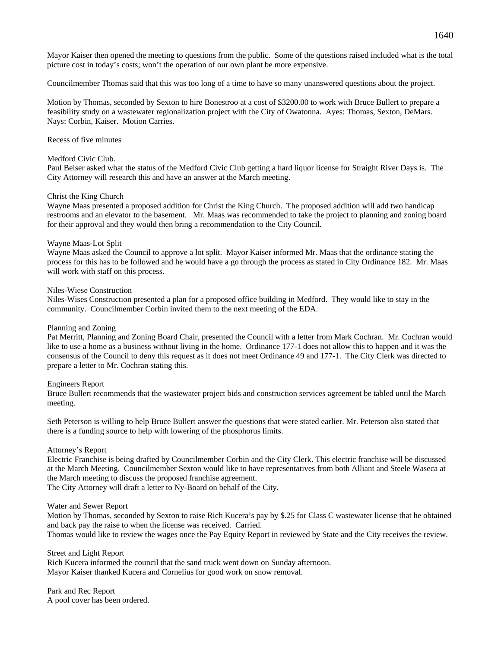Mayor Kaiser then opened the meeting to questions from the public. Some of the questions raised included what is the total picture cost in today's costs; won't the operation of our own plant be more expensive.

Councilmember Thomas said that this was too long of a time to have so many unanswered questions about the project.

Motion by Thomas, seconded by Sexton to hire Bonestroo at a cost of \$3200.00 to work with Bruce Bullert to prepare a feasibility study on a wastewater regionalization project with the City of Owatonna. Ayes: Thomas, Sexton, DeMars. Nays: Corbin, Kaiser. Motion Carries.

Recess of five minutes

## Medford Civic Club.

Paul Beiser asked what the status of the Medford Civic Club getting a hard liquor license for Straight River Days is. The City Attorney will research this and have an answer at the March meeting.

#### Christ the King Church

Wayne Maas presented a proposed addition for Christ the King Church. The proposed addition will add two handicap restrooms and an elevator to the basement. Mr. Maas was recommended to take the project to planning and zoning board for their approval and they would then bring a recommendation to the City Council.

#### Wayne Maas-Lot Split

Wayne Maas asked the Council to approve a lot split. Mayor Kaiser informed Mr. Maas that the ordinance stating the process for this has to be followed and he would have a go through the process as stated in City Ordinance 182. Mr. Maas will work with staff on this process.

#### Niles-Wiese Construction

Niles-Wises Construction presented a plan for a proposed office building in Medford. They would like to stay in the community. Councilmember Corbin invited them to the next meeting of the EDA.

#### Planning and Zoning

Pat Merritt, Planning and Zoning Board Chair, presented the Council with a letter from Mark Cochran. Mr. Cochran would like to use a home as a business without living in the home. Ordinance 177-1 does not allow this to happen and it was the consensus of the Council to deny this request as it does not meet Ordinance 49 and 177-1. The City Clerk was directed to prepare a letter to Mr. Cochran stating this.

## Engineers Report

Bruce Bullert recommends that the wastewater project bids and construction services agreement be tabled until the March meeting.

Seth Peterson is willing to help Bruce Bullert answer the questions that were stated earlier. Mr. Peterson also stated that there is a funding source to help with lowering of the phosphorus limits.

#### Attorney's Report

Electric Franchise is being drafted by Councilmember Corbin and the City Clerk. This electric franchise will be discussed at the March Meeting. Councilmember Sexton would like to have representatives from both Alliant and Steele Waseca at the March meeting to discuss the proposed franchise agreement.

The City Attorney will draft a letter to Ny-Board on behalf of the City.

#### Water and Sewer Report

Motion by Thomas, seconded by Sexton to raise Rich Kucera's pay by \$.25 for Class C wastewater license that he obtained and back pay the raise to when the license was received. Carried.

Thomas would like to review the wages once the Pay Equity Report in reviewed by State and the City receives the review.

#### Street and Light Report

Rich Kucera informed the council that the sand truck went down on Sunday afternoon. Mayor Kaiser thanked Kucera and Cornelius for good work on snow removal.

Park and Rec Report A pool cover has been ordered.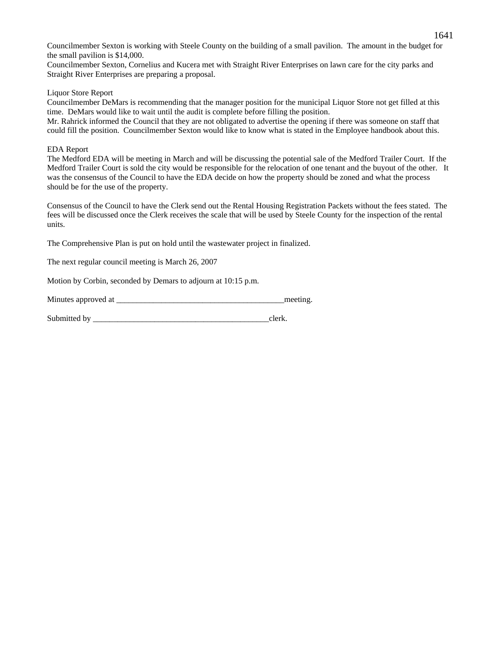Councilmember Sexton is working with Steele County on the building of a small pavilion. The amount in the budget for the small pavilion is \$14,000.

Councilmember Sexton, Cornelius and Kucera met with Straight River Enterprises on lawn care for the city parks and Straight River Enterprises are preparing a proposal.

# Liquor Store Report

Councilmember DeMars is recommending that the manager position for the municipal Liquor Store not get filled at this time. DeMars would like to wait until the audit is complete before filling the position.

Mr. Rahrick informed the Council that they are not obligated to advertise the opening if there was someone on staff that could fill the position. Councilmember Sexton would like to know what is stated in the Employee handbook about this.

## EDA Report

The Medford EDA will be meeting in March and will be discussing the potential sale of the Medford Trailer Court. If the Medford Trailer Court is sold the city would be responsible for the relocation of one tenant and the buyout of the other. It was the consensus of the Council to have the EDA decide on how the property should be zoned and what the process should be for the use of the property.

Consensus of the Council to have the Clerk send out the Rental Housing Registration Packets without the fees stated. The fees will be discussed once the Clerk receives the scale that will be used by Steele County for the inspection of the rental units.

The Comprehensive Plan is put on hold until the wastewater project in finalized.

The next regular council meeting is March 26, 2007

Motion by Corbin, seconded by Demars to adjourn at 10:15 p.m.

Minutes approved at  $\blacksquare$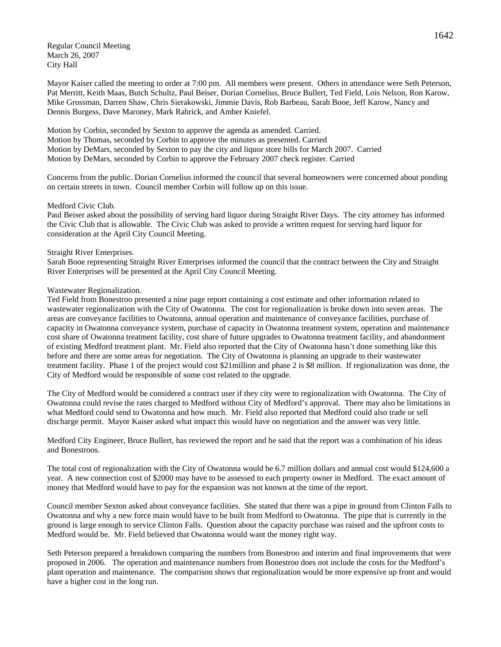Regular Council Meeting March 26, 2007 City Hall

Mayor Kaiser called the meeting to order at 7:00 pm. All members were present. Others in attendance were Seth Peterson, Pat Merritt, Keith Maas, Butch Schultz, Paul Beiser, Dorian Cornelius, Bruce Bullert, Ted Field, Lois Nelson, Ron Karow, Mike Grossman, Darren Shaw, Chris Sierakowski, Jimmie Davis, Rob Barbeau, Sarah Booe, Jeff Karow, Nancy and Dennis Burgess, Dave Maroney, Mark Rahrick, and Amber Kniefel.

Motion by Corbin, seconded by Sexton to approve the agenda as amended. Carried. Motion by Thomas, seconded by Corbin to approve the minutes as presented. Carried Motion by DeMars, seconded by Sexton to pay the city and liquor store bills for March 2007. Carried Motion by DeMars, seconded by Corbin to approve the February 2007 check register. Carried

Concerns from the public. Dorian Cornelius informed the council that several homeowners were concerned about ponding on certain streets in town. Council member Corbin will follow up on this issue.

#### Medford Civic Club.

Paul Beiser asked about the possibility of serving hard liquor during Straight River Days. The city attorney has informed the Civic Club that is allowable. The Civic Club was asked to provide a written request for serving hard liquor for consideration at the April City Council Meeting.

#### Straight River Enterprises.

Sarah Booe representing Straight River Enterprises informed the council that the contract between the City and Straight River Enterprises will be presented at the April City Council Meeting.

#### Wastewater Regionalization.

Ted Field from Bonestroo presented a nine page report containing a cost estimate and other information related to wastewater regionalization with the City of Owatonna. The cost for regionalization is broke down into seven areas. The areas are conveyance facilities to Owatonna, annual operation and maintenance of conveyance facilities, purchase of capacity in Owatonna conveyance system, purchase of capacity in Owatonna treatment system, operation and maintenance cost share of Owatonna treatment facility, cost share of future upgrades to Owatonna treatment facility, and abandonment of existing Medford treatment plant. Mr. Field also reported that the City of Owatonna hasn't done something like this before and there are some areas for negotiation. The City of Owatonna is planning an upgrade to their wastewater treatment facility. Phase 1 of the project would cost \$21million and phase 2 is \$8 million. If regionalization was done, the City of Medford would be responsible of some cost related to the upgrade.

The City of Medford would be considered a contract user if they city were to regionalization with Owatonna. The City of Owatonna could revise the rates charged to Medford without City of Medford's approval. There may also be limitations in what Medford could send to Owatonna and how much. Mr. Field also reported that Medford could also trade or sell discharge permit. Mayor Kaiser asked what impact this would have on negotiation and the answer was very little.

Medford City Engineer, Bruce Bullert, has reviewed the report and he said that the report was a combination of his ideas and Bonestroos.

The total cost of regionalization with the City of Owatonna would be 6.7 million dollars and annual cost would \$124,600 a year. A new connection cost of \$2000 may have to be assessed to each property owner in Medford. The exact amount of money that Medford would have to pay for the expansion was not known at the time of the report.

Council member Sexton asked about conveyance facilities. She stated that there was a pipe in ground from Clinton Falls to Owatonna and why a new force main would have to be built from Medford to Owatonna. The pipe that is currently in the ground is large enough to service Clinton Falls. Question about the capacity purchase was raised and the upfront costs to Medford would be. Mr. Field believed that Owatonna would want the money right way.

Seth Peterson prepared a breakdown comparing the numbers from Bonestroo and interim and final improvements that were proposed in 2006. The operation and maintenance numbers from Bonestroo does not include the costs for the Medford's plant operation and maintenance. The comparison shows that regionalization would be more expensive up front and would have a higher cost in the long run.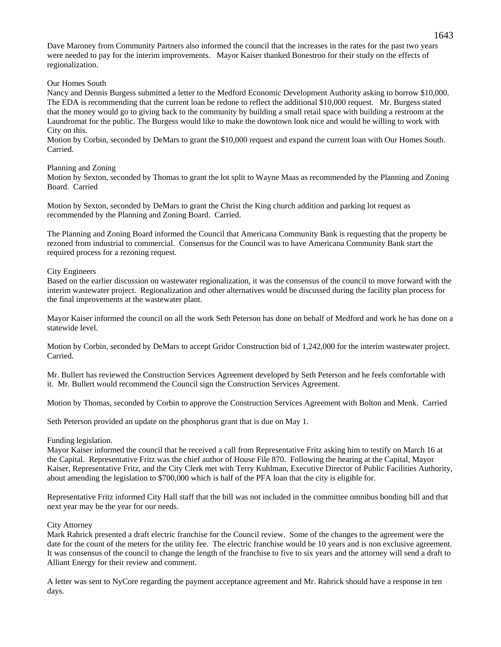Dave Maroney from Community Partners also informed the council that the increases in the rates for the past two years were needed to pay for the interim improvements. Mayor Kaiser thanked Bonestroo for their study on the effects of regionalization.

## Our Homes South

Nancy and Dennis Burgess submitted a letter to the Medford Economic Development Authority asking to borrow \$10,000. The EDA is recommending that the current loan be redone to reflect the additional \$10,000 request. Mr. Burgess stated that the money would go to giving back to the community by building a small retail space with building a restroom at the Laundromat for the public. The Burgess would like to make the downtown look nice and would be willing to work with City on this.

Motion by Corbin, seconded by DeMars to grant the \$10,000 request and expand the current loan with Our Homes South. Carried.

## Planning and Zoning

Motion by Sexton, seconded by Thomas to grant the lot split to Wayne Maas as recommended by the Planning and Zoning Board. Carried

Motion by Sexton, seconded by DeMars to grant the Christ the King church addition and parking lot request as recommended by the Planning and Zoning Board. Carried.

The Planning and Zoning Board informed the Council that Americana Community Bank is requesting that the property be rezoned from industrial to commercial. Consensus for the Council was to have Americana Community Bank start the required process for a rezoning request.

# City Engineers

Based on the earlier discussion on wastewater regionalization, it was the consensus of the council to move forward with the interim wastewater project. Regionalization and other alternatives would be discussed during the facility plan process for the final improvements at the wastewater plant.

Mayor Kaiser informed the council on all the work Seth Peterson has done on behalf of Medford and work he has done on a statewide level.

Motion by Corbin, seconded by DeMars to accept Gridor Construction bid of 1,242,000 for the interim wastewater project. Carried.

Mr. Bullert has reviewed the Construction Services Agreement developed by Seth Peterson and he feels comfortable with it. Mr. Bullert would recommend the Council sign the Construction Services Agreement.

Motion by Thomas, seconded by Corbin to approve the Construction Services Agreement with Bolton and Menk. Carried

Seth Peterson provided an update on the phosphorus grant that is due on May 1.

## Funding legislation.

Mayor Kaiser informed the council that he received a call from Representative Fritz asking him to testify on March 16 at the Capital. Representative Fritz was the chief author of House File 870. Following the hearing at the Capital, Mayor Kaiser, Representative Fritz, and the City Clerk met with Terry Kuhlman, Executive Director of Public Facilities Authority, about amending the legislation to \$700,000 which is half of the PFA loan that the city is eligible for.

Representative Fritz informed City Hall staff that the bill was not included in the committee omnibus bonding bill and that next year may be the year for our needs.

# City Attorney

Mark Rahrick presented a draft electric franchise for the Council review. Some of the changes to the agreement were the date for the count of the meters for the utility fee. The electric franchise would be 10 years and is non exclusive agreement. It was consensus of the council to change the length of the franchise to five to six years and the attorney will send a draft to Alliant Energy for their review and comment.

A letter was sent to NyCore regarding the payment acceptance agreement and Mr. Rahrick should have a response in ten days.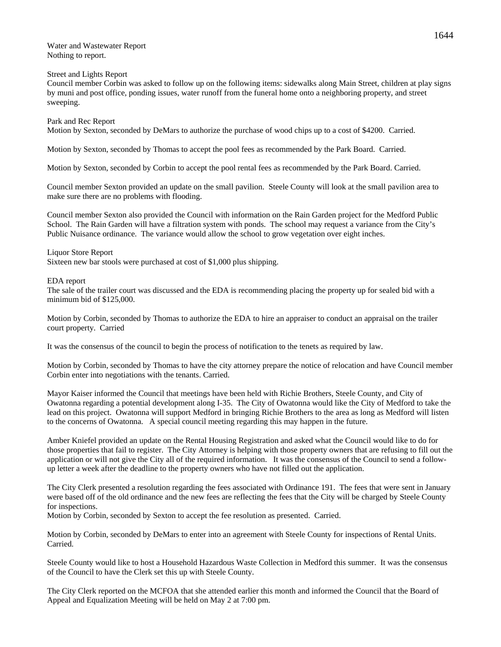Water and Wastewater Report Nothing to report.

Street and Lights Report

Council member Corbin was asked to follow up on the following items: sidewalks along Main Street, children at play signs by muni and post office, ponding issues, water runoff from the funeral home onto a neighboring property, and street sweeping.

## Park and Rec Report

Motion by Sexton, seconded by DeMars to authorize the purchase of wood chips up to a cost of \$4200. Carried.

Motion by Sexton, seconded by Thomas to accept the pool fees as recommended by the Park Board. Carried.

Motion by Sexton, seconded by Corbin to accept the pool rental fees as recommended by the Park Board. Carried.

Council member Sexton provided an update on the small pavilion. Steele County will look at the small pavilion area to make sure there are no problems with flooding.

Council member Sexton also provided the Council with information on the Rain Garden project for the Medford Public School. The Rain Garden will have a filtration system with ponds. The school may request a variance from the City's Public Nuisance ordinance. The variance would allow the school to grow vegetation over eight inches.

#### Liquor Store Report

Sixteen new bar stools were purchased at cost of \$1,000 plus shipping.

#### EDA report

The sale of the trailer court was discussed and the EDA is recommending placing the property up for sealed bid with a minimum bid of \$125,000.

Motion by Corbin, seconded by Thomas to authorize the EDA to hire an appraiser to conduct an appraisal on the trailer court property. Carried

It was the consensus of the council to begin the process of notification to the tenets as required by law.

Motion by Corbin, seconded by Thomas to have the city attorney prepare the notice of relocation and have Council member Corbin enter into negotiations with the tenants. Carried.

Mayor Kaiser informed the Council that meetings have been held with Richie Brothers, Steele County, and City of Owatonna regarding a potential development along I-35. The City of Owatonna would like the City of Medford to take the lead on this project. Owatonna will support Medford in bringing Richie Brothers to the area as long as Medford will listen to the concerns of Owatonna. A special council meeting regarding this may happen in the future.

Amber Kniefel provided an update on the Rental Housing Registration and asked what the Council would like to do for those properties that fail to register. The City Attorney is helping with those property owners that are refusing to fill out the application or will not give the City all of the required information. It was the consensus of the Council to send a followup letter a week after the deadline to the property owners who have not filled out the application.

The City Clerk presented a resolution regarding the fees associated with Ordinance 191. The fees that were sent in January were based off of the old ordinance and the new fees are reflecting the fees that the City will be charged by Steele County for inspections.

Motion by Corbin, seconded by Sexton to accept the fee resolution as presented. Carried.

Motion by Corbin, seconded by DeMars to enter into an agreement with Steele County for inspections of Rental Units. Carried.

Steele County would like to host a Household Hazardous Waste Collection in Medford this summer. It was the consensus of the Council to have the Clerk set this up with Steele County.

The City Clerk reported on the MCFOA that she attended earlier this month and informed the Council that the Board of Appeal and Equalization Meeting will be held on May 2 at 7:00 pm.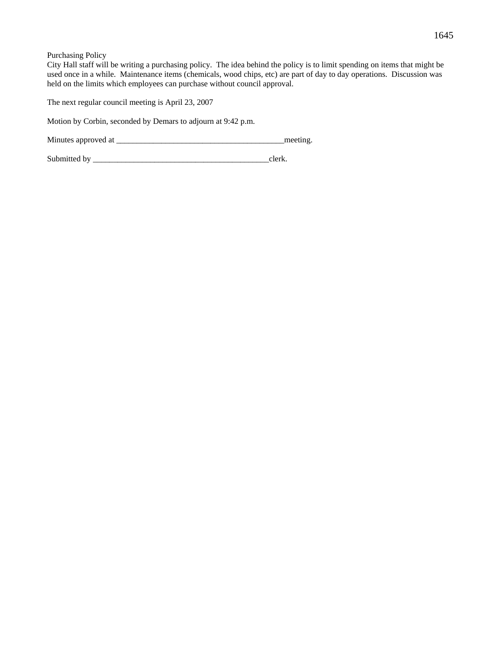Purchasing Policy

City Hall staff will be writing a purchasing policy. The idea behind the policy is to limit spending on items that might be used once in a while. Maintenance items (chemicals, wood chips, etc) are part of day to day operations. Discussion was held on the limits which employees can purchase without council approval.

The next regular council meeting is April 23, 2007

Motion by Corbin, seconded by Demars to adjourn at 9:42 p.m.

Minutes approved at \_\_\_\_\_\_\_\_\_\_\_\_\_\_\_\_\_\_\_\_\_\_\_\_\_\_\_\_\_\_\_\_\_\_\_\_\_\_\_\_\_meeting.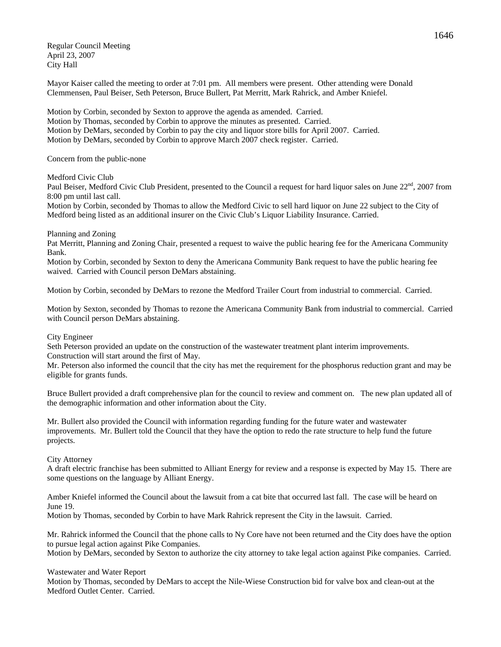Regular Council Meeting April 23, 2007 City Hall

Mayor Kaiser called the meeting to order at 7:01 pm. All members were present. Other attending were Donald Clemmensen, Paul Beiser, Seth Peterson, Bruce Bullert, Pat Merritt, Mark Rahrick, and Amber Kniefel.

Motion by Corbin, seconded by Sexton to approve the agenda as amended. Carried. Motion by Thomas, seconded by Corbin to approve the minutes as presented. Carried. Motion by DeMars, seconded by Corbin to pay the city and liquor store bills for April 2007. Carried. Motion by DeMars, seconded by Corbin to approve March 2007 check register. Carried.

Concern from the public-none

Medford Civic Club

Paul Beiser, Medford Civic Club President, presented to the Council a request for hard liquor sales on June  $22<sup>nd</sup>$ , 2007 from 8:00 pm until last call.

Motion by Corbin, seconded by Thomas to allow the Medford Civic to sell hard liquor on June 22 subject to the City of Medford being listed as an additional insurer on the Civic Club's Liquor Liability Insurance. Carried.

#### Planning and Zoning

Pat Merritt, Planning and Zoning Chair, presented a request to waive the public hearing fee for the Americana Community Bank.

Motion by Corbin, seconded by Sexton to deny the Americana Community Bank request to have the public hearing fee waived. Carried with Council person DeMars abstaining.

Motion by Corbin, seconded by DeMars to rezone the Medford Trailer Court from industrial to commercial. Carried.

Motion by Sexton, seconded by Thomas to rezone the Americana Community Bank from industrial to commercial. Carried with Council person DeMars abstaining.

## City Engineer

Seth Peterson provided an update on the construction of the wastewater treatment plant interim improvements. Construction will start around the first of May.

Mr. Peterson also informed the council that the city has met the requirement for the phosphorus reduction grant and may be eligible for grants funds.

Bruce Bullert provided a draft comprehensive plan for the council to review and comment on. The new plan updated all of the demographic information and other information about the City.

Mr. Bullert also provided the Council with information regarding funding for the future water and wastewater improvements. Mr. Bullert told the Council that they have the option to redo the rate structure to help fund the future projects.

#### City Attorney

A draft electric franchise has been submitted to Alliant Energy for review and a response is expected by May 15. There are some questions on the language by Alliant Energy.

Amber Kniefel informed the Council about the lawsuit from a cat bite that occurred last fall. The case will be heard on June 19.

Motion by Thomas, seconded by Corbin to have Mark Rahrick represent the City in the lawsuit. Carried.

Mr. Rahrick informed the Council that the phone calls to Ny Core have not been returned and the City does have the option to pursue legal action against Pike Companies.

Motion by DeMars, seconded by Sexton to authorize the city attorney to take legal action against Pike companies. Carried.

#### Wastewater and Water Report

Motion by Thomas, seconded by DeMars to accept the Nile-Wiese Construction bid for valve box and clean-out at the Medford Outlet Center. Carried.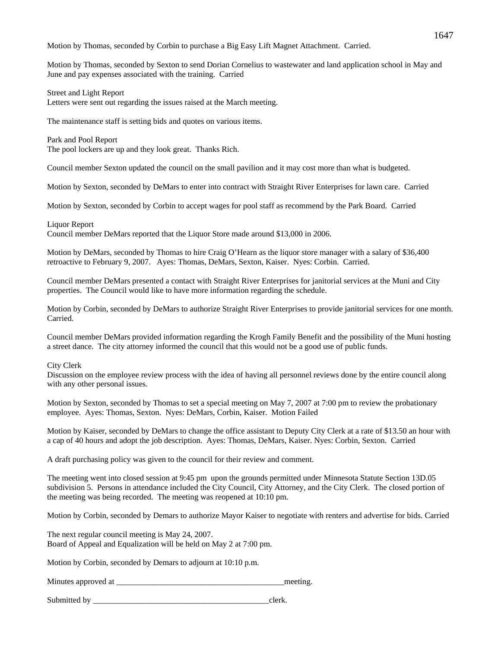Motion by Thomas, seconded by Corbin to purchase a Big Easy Lift Magnet Attachment. Carried.

Motion by Thomas, seconded by Sexton to send Dorian Cornelius to wastewater and land application school in May and June and pay expenses associated with the training. Carried

Street and Light Report

Letters were sent out regarding the issues raised at the March meeting.

The maintenance staff is setting bids and quotes on various items.

Park and Pool Report The pool lockers are up and they look great. Thanks Rich.

Council member Sexton updated the council on the small pavilion and it may cost more than what is budgeted.

Motion by Sexton, seconded by DeMars to enter into contract with Straight River Enterprises for lawn care. Carried

Motion by Sexton, seconded by Corbin to accept wages for pool staff as recommend by the Park Board. Carried

Liquor Report

Council member DeMars reported that the Liquor Store made around \$13,000 in 2006.

Motion by DeMars, seconded by Thomas to hire Craig O'Hearn as the liquor store manager with a salary of \$36,400 retroactive to February 9, 2007. Ayes: Thomas, DeMars, Sexton, Kaiser. Nyes: Corbin. Carried.

Council member DeMars presented a contact with Straight River Enterprises for janitorial services at the Muni and City properties. The Council would like to have more information regarding the schedule.

Motion by Corbin, seconded by DeMars to authorize Straight River Enterprises to provide janitorial services for one month. Carried.

Council member DeMars provided information regarding the Krogh Family Benefit and the possibility of the Muni hosting a street dance. The city attorney informed the council that this would not be a good use of public funds.

City Clerk

Discussion on the employee review process with the idea of having all personnel reviews done by the entire council along with any other personal issues.

Motion by Sexton, seconded by Thomas to set a special meeting on May 7, 2007 at 7:00 pm to review the probationary employee. Ayes: Thomas, Sexton. Nyes: DeMars, Corbin, Kaiser. Motion Failed

Motion by Kaiser, seconded by DeMars to change the office assistant to Deputy City Clerk at a rate of \$13.50 an hour with a cap of 40 hours and adopt the job description. Ayes: Thomas, DeMars, Kaiser. Nyes: Corbin, Sexton. Carried

A draft purchasing policy was given to the council for their review and comment.

The meeting went into closed session at 9:45 pm upon the grounds permitted under Minnesota Statute Section 13D.05 subdivision 5. Persons in attendance included the City Council, City Attorney, and the City Clerk. The closed portion of the meeting was being recorded. The meeting was reopened at 10:10 pm.

Motion by Corbin, seconded by Demars to authorize Mayor Kaiser to negotiate with renters and advertise for bids. Carried

The next regular council meeting is May 24, 2007. Board of Appeal and Equalization will be held on May 2 at 7:00 pm.

Motion by Corbin, seconded by Demars to adjourn at 10:10 p.m.

Minutes approved at  $\blacksquare$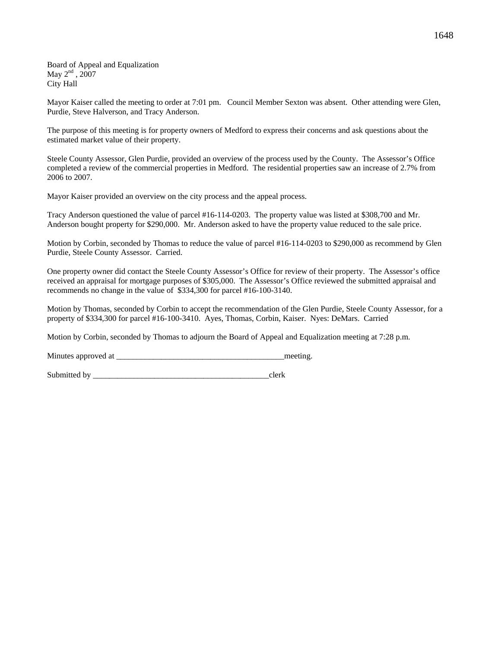Board of Appeal and Equalization May  $2<sup>nd</sup>$ ,  $2007$ City Hall

Mayor Kaiser called the meeting to order at 7:01 pm. Council Member Sexton was absent. Other attending were Glen, Purdie, Steve Halverson, and Tracy Anderson.

The purpose of this meeting is for property owners of Medford to express their concerns and ask questions about the estimated market value of their property.

Steele County Assessor, Glen Purdie, provided an overview of the process used by the County. The Assessor's Office completed a review of the commercial properties in Medford. The residential properties saw an increase of 2.7% from 2006 to 2007.

Mayor Kaiser provided an overview on the city process and the appeal process.

Tracy Anderson questioned the value of parcel #16-114-0203. The property value was listed at \$308,700 and Mr. Anderson bought property for \$290,000. Mr. Anderson asked to have the property value reduced to the sale price.

Motion by Corbin, seconded by Thomas to reduce the value of parcel #16-114-0203 to \$290,000 as recommend by Glen Purdie, Steele County Assessor. Carried.

One property owner did contact the Steele County Assessor's Office for review of their property. The Assessor's office received an appraisal for mortgage purposes of \$305,000. The Assessor's Office reviewed the submitted appraisal and recommends no change in the value of \$334,300 for parcel #16-100-3140.

Motion by Thomas, seconded by Corbin to accept the recommendation of the Glen Purdie, Steele County Assessor, for a property of \$334,300 for parcel #16-100-3410. Ayes, Thomas, Corbin, Kaiser. Nyes: DeMars. Carried

Motion by Corbin, seconded by Thomas to adjourn the Board of Appeal and Equalization meeting at 7:28 p.m.

Minutes approved at the setting and the setting meeting.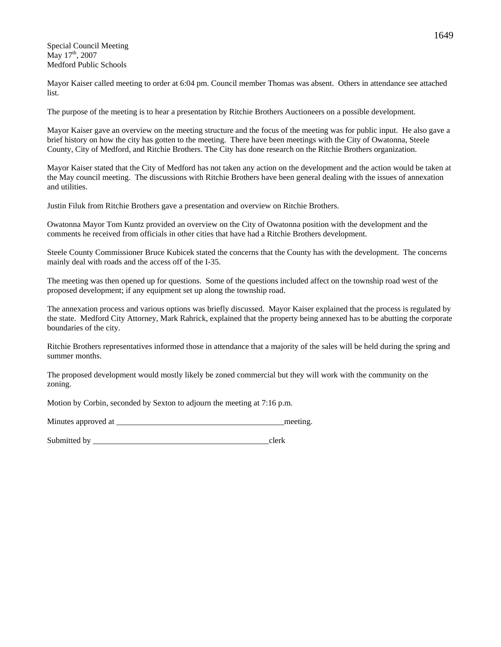Special Council Meeting  $\rm{May}$  17<sup>th</sup>, 2007 Medford Public Schools

Mayor Kaiser called meeting to order at 6:04 pm. Council member Thomas was absent. Others in attendance see attached list.

The purpose of the meeting is to hear a presentation by Ritchie Brothers Auctioneers on a possible development.

Mayor Kaiser gave an overview on the meeting structure and the focus of the meeting was for public input. He also gave a brief history on how the city has gotten to the meeting. There have been meetings with the City of Owatonna, Steele County, City of Medford, and Ritchie Brothers. The City has done research on the Ritchie Brothers organization.

Mayor Kaiser stated that the City of Medford has not taken any action on the development and the action would be taken at the May council meeting. The discussions with Ritchie Brothers have been general dealing with the issues of annexation and utilities.

Justin Filuk from Ritchie Brothers gave a presentation and overview on Ritchie Brothers.

Owatonna Mayor Tom Kuntz provided an overview on the City of Owatonna position with the development and the comments he received from officials in other cities that have had a Ritchie Brothers development.

Steele County Commissioner Bruce Kubicek stated the concerns that the County has with the development. The concerns mainly deal with roads and the access off of the I-35.

The meeting was then opened up for questions. Some of the questions included affect on the township road west of the proposed development; if any equipment set up along the township road.

The annexation process and various options was briefly discussed. Mayor Kaiser explained that the process is regulated by the state. Medford City Attorney, Mark Rahrick, explained that the property being annexed has to be abutting the corporate boundaries of the city.

Ritchie Brothers representatives informed those in attendance that a majority of the sales will be held during the spring and summer months.

The proposed development would mostly likely be zoned commercial but they will work with the community on the zoning.

Motion by Corbin, seconded by Sexton to adjourn the meeting at 7:16 p.m.

Minutes approved at \_\_\_\_\_\_\_\_\_\_\_\_\_\_\_\_\_\_\_\_\_\_\_\_\_\_\_\_\_\_\_\_\_\_\_\_\_\_\_\_\_meeting.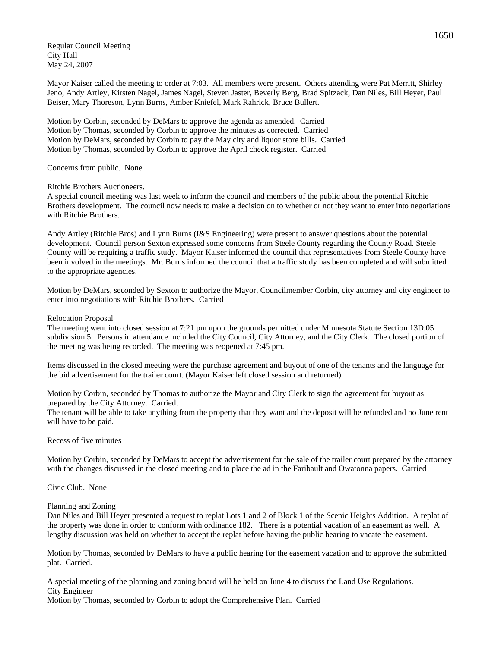Regular Council Meeting City Hall May 24, 2007

Mayor Kaiser called the meeting to order at 7:03. All members were present. Others attending were Pat Merritt, Shirley Jeno, Andy Artley, Kirsten Nagel, James Nagel, Steven Jaster, Beverly Berg, Brad Spitzack, Dan Niles, Bill Heyer, Paul Beiser, Mary Thoreson, Lynn Burns, Amber Kniefel, Mark Rahrick, Bruce Bullert.

Motion by Corbin, seconded by DeMars to approve the agenda as amended. Carried Motion by Thomas, seconded by Corbin to approve the minutes as corrected. Carried Motion by DeMars, seconded by Corbin to pay the May city and liquor store bills. Carried Motion by Thomas, seconded by Corbin to approve the April check register. Carried

## Concerns from public. None

# Ritchie Brothers Auctioneers.

A special council meeting was last week to inform the council and members of the public about the potential Ritchie Brothers development. The council now needs to make a decision on to whether or not they want to enter into negotiations with Ritchie Brothers.

Andy Artley (Ritchie Bros) and Lynn Burns (I&S Engineering) were present to answer questions about the potential development. Council person Sexton expressed some concerns from Steele County regarding the County Road. Steele County will be requiring a traffic study. Mayor Kaiser informed the council that representatives from Steele County have been involved in the meetings. Mr. Burns informed the council that a traffic study has been completed and will submitted to the appropriate agencies.

Motion by DeMars, seconded by Sexton to authorize the Mayor, Councilmember Corbin, city attorney and city engineer to enter into negotiations with Ritchie Brothers. Carried

# Relocation Proposal

The meeting went into closed session at 7:21 pm upon the grounds permitted under Minnesota Statute Section 13D.05 subdivision 5. Persons in attendance included the City Council, City Attorney, and the City Clerk. The closed portion of the meeting was being recorded. The meeting was reopened at 7:45 pm.

Items discussed in the closed meeting were the purchase agreement and buyout of one of the tenants and the language for the bid advertisement for the trailer court. (Mayor Kaiser left closed session and returned)

Motion by Corbin, seconded by Thomas to authorize the Mayor and City Clerk to sign the agreement for buyout as prepared by the City Attorney. Carried.

The tenant will be able to take anything from the property that they want and the deposit will be refunded and no June rent will have to be paid.

Recess of five minutes

Motion by Corbin, seconded by DeMars to accept the advertisement for the sale of the trailer court prepared by the attorney with the changes discussed in the closed meeting and to place the ad in the Faribault and Owatonna papers. Carried

# Civic Club. None

## Planning and Zoning

Dan Niles and Bill Heyer presented a request to replat Lots 1 and 2 of Block 1 of the Scenic Heights Addition. A replat of the property was done in order to conform with ordinance 182. There is a potential vacation of an easement as well. A lengthy discussion was held on whether to accept the replat before having the public hearing to vacate the easement.

Motion by Thomas, seconded by DeMars to have a public hearing for the easement vacation and to approve the submitted plat. Carried.

A special meeting of the planning and zoning board will be held on June 4 to discuss the Land Use Regulations. City Engineer

Motion by Thomas, seconded by Corbin to adopt the Comprehensive Plan. Carried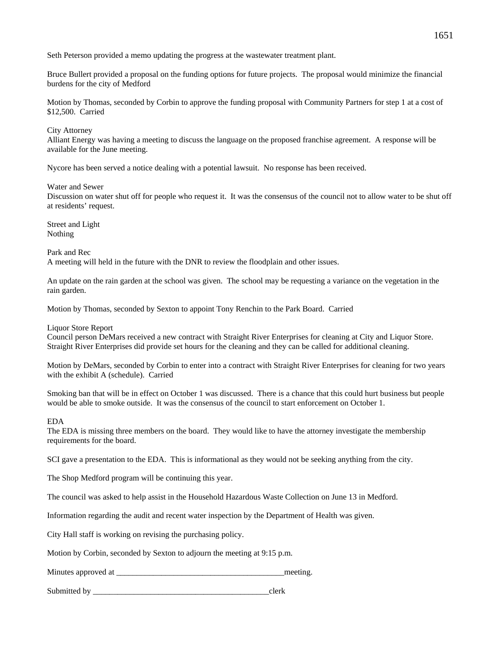Seth Peterson provided a memo updating the progress at the wastewater treatment plant.

Bruce Bullert provided a proposal on the funding options for future projects. The proposal would minimize the financial burdens for the city of Medford

Motion by Thomas, seconded by Corbin to approve the funding proposal with Community Partners for step 1 at a cost of \$12,500. Carried

# City Attorney

Alliant Energy was having a meeting to discuss the language on the proposed franchise agreement. A response will be available for the June meeting.

Nycore has been served a notice dealing with a potential lawsuit. No response has been received.

Water and Sewer

Discussion on water shut off for people who request it. It was the consensus of the council not to allow water to be shut off at residents' request.

Street and Light Nothing

Park and Rec A meeting will held in the future with the DNR to review the floodplain and other issues.

An update on the rain garden at the school was given. The school may be requesting a variance on the vegetation in the rain garden.

Motion by Thomas, seconded by Sexton to appoint Tony Renchin to the Park Board. Carried

Liquor Store Report

Council person DeMars received a new contract with Straight River Enterprises for cleaning at City and Liquor Store. Straight River Enterprises did provide set hours for the cleaning and they can be called for additional cleaning.

Motion by DeMars, seconded by Corbin to enter into a contract with Straight River Enterprises for cleaning for two years with the exhibit A (schedule). Carried

Smoking ban that will be in effect on October 1 was discussed. There is a chance that this could hurt business but people would be able to smoke outside. It was the consensus of the council to start enforcement on October 1.

# EDA

The EDA is missing three members on the board. They would like to have the attorney investigate the membership requirements for the board.

SCI gave a presentation to the EDA. This is informational as they would not be seeking anything from the city.

The Shop Medford program will be continuing this year.

The council was asked to help assist in the Household Hazardous Waste Collection on June 13 in Medford.

Information regarding the audit and recent water inspection by the Department of Health was given.

City Hall staff is working on revising the purchasing policy.

Motion by Corbin, seconded by Sexton to adjourn the meeting at 9:15 p.m.

Minutes approved at the meeting.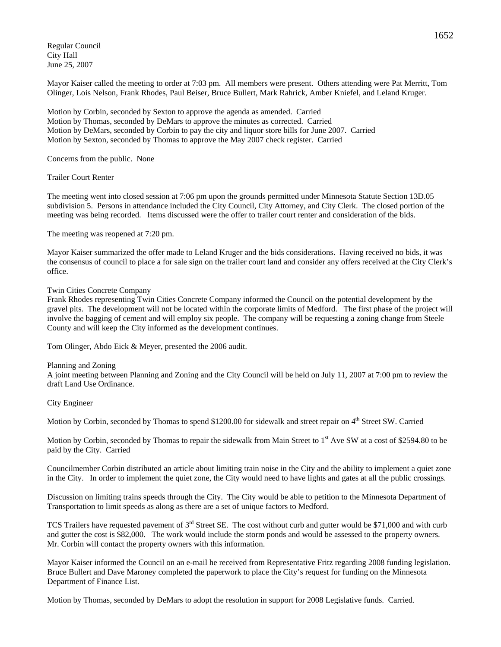Regular Council City Hall June 25, 2007

Mayor Kaiser called the meeting to order at 7:03 pm. All members were present. Others attending were Pat Merritt, Tom Olinger, Lois Nelson, Frank Rhodes, Paul Beiser, Bruce Bullert, Mark Rahrick, Amber Kniefel, and Leland Kruger.

Motion by Corbin, seconded by Sexton to approve the agenda as amended. Carried Motion by Thomas, seconded by DeMars to approve the minutes as corrected. Carried Motion by DeMars, seconded by Corbin to pay the city and liquor store bills for June 2007. Carried Motion by Sexton, seconded by Thomas to approve the May 2007 check register. Carried

Concerns from the public. None

Trailer Court Renter

The meeting went into closed session at 7:06 pm upon the grounds permitted under Minnesota Statute Section 13D.05 subdivision 5. Persons in attendance included the City Council, City Attorney, and City Clerk. The closed portion of the meeting was being recorded. Items discussed were the offer to trailer court renter and consideration of the bids.

The meeting was reopened at 7:20 pm.

Mayor Kaiser summarized the offer made to Leland Kruger and the bids considerations. Having received no bids, it was the consensus of council to place a for sale sign on the trailer court land and consider any offers received at the City Clerk's office.

#### Twin Cities Concrete Company

Frank Rhodes representing Twin Cities Concrete Company informed the Council on the potential development by the gravel pits. The development will not be located within the corporate limits of Medford. The first phase of the project will involve the bagging of cement and will employ six people. The company will be requesting a zoning change from Steele County and will keep the City informed as the development continues.

Tom Olinger, Abdo Eick & Meyer, presented the 2006 audit.

Planning and Zoning

A joint meeting between Planning and Zoning and the City Council will be held on July 11, 2007 at 7:00 pm to review the draft Land Use Ordinance.

City Engineer

Motion by Corbin, seconded by Thomas to spend \$1200.00 for sidewalk and street repair on 4<sup>th</sup> Street SW. Carried

Motion by Corbin, seconded by Thomas to repair the sidewalk from Main Street to  $1<sup>st</sup>$  Ave SW at a cost of \$2594.80 to be paid by the City. Carried

Councilmember Corbin distributed an article about limiting train noise in the City and the ability to implement a quiet zone in the City. In order to implement the quiet zone, the City would need to have lights and gates at all the public crossings.

Discussion on limiting trains speeds through the City. The City would be able to petition to the Minnesota Department of Transportation to limit speeds as along as there are a set of unique factors to Medford.

TCS Trailers have requested pavement of  $3<sup>rd</sup>$  Street SE. The cost without curb and gutter would be \$71,000 and with curb and gutter the cost is \$82,000. The work would include the storm ponds and would be assessed to the property owners. Mr. Corbin will contact the property owners with this information.

Mayor Kaiser informed the Council on an e-mail he received from Representative Fritz regarding 2008 funding legislation. Bruce Bullert and Dave Maroney completed the paperwork to place the City's request for funding on the Minnesota Department of Finance List.

Motion by Thomas, seconded by DeMars to adopt the resolution in support for 2008 Legislative funds. Carried.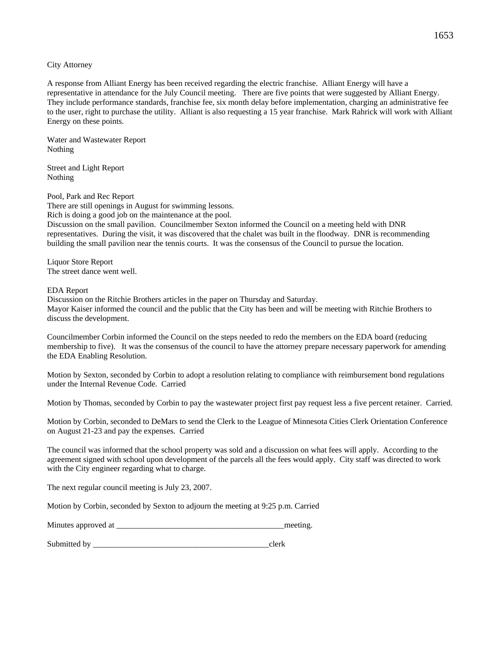City Attorney

A response from Alliant Energy has been received regarding the electric franchise. Alliant Energy will have a representative in attendance for the July Council meeting. There are five points that were suggested by Alliant Energy. They include performance standards, franchise fee, six month delay before implementation, charging an administrative fee to the user, right to purchase the utility. Alliant is also requesting a 15 year franchise. Mark Rahrick will work with Alliant Energy on these points.

Water and Wastewater Report Nothing

Street and Light Report Nothing

Pool, Park and Rec Report There are still openings in August for swimming lessons. Rich is doing a good job on the maintenance at the pool. Discussion on the small pavilion. Councilmember Sexton informed the Council on a meeting held with DNR representatives. During the visit, it was discovered that the chalet was built in the floodway. DNR is recommending building the small pavilion near the tennis courts. It was the consensus of the Council to pursue the location.

Liquor Store Report The street dance went well.

## EDA Report

Discussion on the Ritchie Brothers articles in the paper on Thursday and Saturday. Mayor Kaiser informed the council and the public that the City has been and will be meeting with Ritchie Brothers to discuss the development.

Councilmember Corbin informed the Council on the steps needed to redo the members on the EDA board (reducing membership to five). It was the consensus of the council to have the attorney prepare necessary paperwork for amending the EDA Enabling Resolution.

Motion by Sexton, seconded by Corbin to adopt a resolution relating to compliance with reimbursement bond regulations under the Internal Revenue Code. Carried

Motion by Thomas, seconded by Corbin to pay the wastewater project first pay request less a five percent retainer. Carried.

Motion by Corbin, seconded to DeMars to send the Clerk to the League of Minnesota Cities Clerk Orientation Conference on August 21-23 and pay the expenses. Carried

The council was informed that the school property was sold and a discussion on what fees will apply. According to the agreement signed with school upon development of the parcels all the fees would apply. City staff was directed to work with the City engineer regarding what to charge.

The next regular council meeting is July 23, 2007.

Motion by Corbin, seconded by Sexton to adjourn the meeting at 9:25 p.m. Carried

| Minutes approved at | meeting. |
|---------------------|----------|
|                     |          |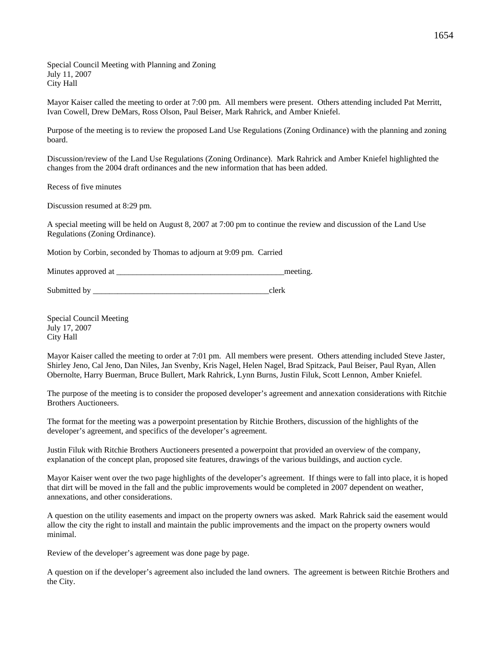Special Council Meeting with Planning and Zoning July 11, 2007 City Hall

Mayor Kaiser called the meeting to order at 7:00 pm. All members were present. Others attending included Pat Merritt, Ivan Cowell, Drew DeMars, Ross Olson, Paul Beiser, Mark Rahrick, and Amber Kniefel.

Purpose of the meeting is to review the proposed Land Use Regulations (Zoning Ordinance) with the planning and zoning board.

Discussion/review of the Land Use Regulations (Zoning Ordinance). Mark Rahrick and Amber Kniefel highlighted the changes from the 2004 draft ordinances and the new information that has been added.

Recess of five minutes

Discussion resumed at 8:29 pm.

A special meeting will be held on August 8, 2007 at 7:00 pm to continue the review and discussion of the Land Use Regulations (Zoning Ordinance).

Motion by Corbin, seconded by Thomas to adjourn at 9:09 pm. Carried

Minutes approved at the setting and the setting meeting.

Submitted by \_\_\_\_\_\_\_\_\_\_\_\_\_\_\_\_\_\_\_\_\_\_\_\_\_\_\_\_\_\_\_\_\_\_\_\_\_\_\_\_\_\_\_clerk

Special Council Meeting July 17, 2007 City Hall

Mayor Kaiser called the meeting to order at 7:01 pm. All members were present. Others attending included Steve Jaster, Shirley Jeno, Cal Jeno, Dan Niles, Jan Svenby, Kris Nagel, Helen Nagel, Brad Spitzack, Paul Beiser, Paul Ryan, Allen Obernolte, Harry Buerman, Bruce Bullert, Mark Rahrick, Lynn Burns, Justin Filuk, Scott Lennon, Amber Kniefel.

The purpose of the meeting is to consider the proposed developer's agreement and annexation considerations with Ritchie Brothers Auctioneers.

The format for the meeting was a powerpoint presentation by Ritchie Brothers, discussion of the highlights of the developer's agreement, and specifics of the developer's agreement.

Justin Filuk with Ritchie Brothers Auctioneers presented a powerpoint that provided an overview of the company, explanation of the concept plan, proposed site features, drawings of the various buildings, and auction cycle.

Mayor Kaiser went over the two page highlights of the developer's agreement. If things were to fall into place, it is hoped that dirt will be moved in the fall and the public improvements would be completed in 2007 dependent on weather, annexations, and other considerations.

A question on the utility easements and impact on the property owners was asked. Mark Rahrick said the easement would allow the city the right to install and maintain the public improvements and the impact on the property owners would minimal.

Review of the developer's agreement was done page by page.

A question on if the developer's agreement also included the land owners. The agreement is between Ritchie Brothers and the City.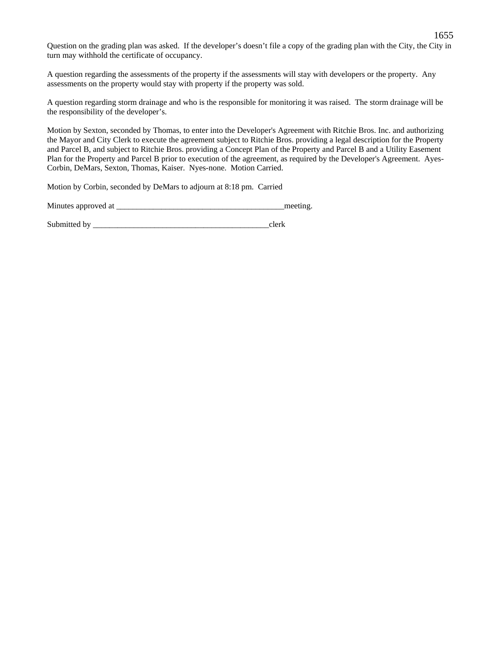Question on the grading plan was asked. If the developer's doesn't file a copy of the grading plan with the City, the City in turn may withhold the certificate of occupancy.

A question regarding the assessments of the property if the assessments will stay with developers or the property. Any assessments on the property would stay with property if the property was sold.

A question regarding storm drainage and who is the responsible for monitoring it was raised. The storm drainage will be the responsibility of the developer's.

Motion by Sexton, seconded by Thomas, to enter into the Developer's Agreement with Ritchie Bros. Inc. and authorizing the Mayor and City Clerk to execute the agreement subject to Ritchie Bros. providing a legal description for the Property and Parcel B, and subject to Ritchie Bros. providing a Concept Plan of the Property and Parcel B and a Utility Easement Plan for the Property and Parcel B prior to execution of the agreement, as required by the Developer's Agreement. Ayes-Corbin, DeMars, Sexton, Thomas, Kaiser. Nyes-none. Motion Carried.

Motion by Corbin, seconded by DeMars to adjourn at 8:18 pm. Carried

| Minutes approved at |  | meeting |
|---------------------|--|---------|
|---------------------|--|---------|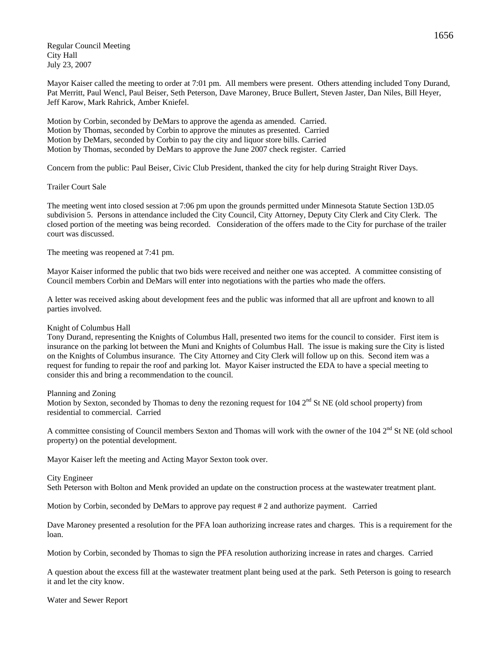Regular Council Meeting City Hall July 23, 2007

Mayor Kaiser called the meeting to order at 7:01 pm. All members were present. Others attending included Tony Durand, Pat Merritt, Paul Wencl, Paul Beiser, Seth Peterson, Dave Maroney, Bruce Bullert, Steven Jaster, Dan Niles, Bill Heyer, Jeff Karow, Mark Rahrick, Amber Kniefel.

Motion by Corbin, seconded by DeMars to approve the agenda as amended. Carried. Motion by Thomas, seconded by Corbin to approve the minutes as presented. Carried Motion by DeMars, seconded by Corbin to pay the city and liquor store bills. Carried Motion by Thomas, seconded by DeMars to approve the June 2007 check register. Carried

Concern from the public: Paul Beiser, Civic Club President, thanked the city for help during Straight River Days.

## Trailer Court Sale

The meeting went into closed session at 7:06 pm upon the grounds permitted under Minnesota Statute Section 13D.05 subdivision 5. Persons in attendance included the City Council, City Attorney, Deputy City Clerk and City Clerk. The closed portion of the meeting was being recorded. Consideration of the offers made to the City for purchase of the trailer court was discussed.

The meeting was reopened at 7:41 pm.

Mayor Kaiser informed the public that two bids were received and neither one was accepted. A committee consisting of Council members Corbin and DeMars will enter into negotiations with the parties who made the offers.

A letter was received asking about development fees and the public was informed that all are upfront and known to all parties involved.

## Knight of Columbus Hall

Tony Durand, representing the Knights of Columbus Hall, presented two items for the council to consider. First item is insurance on the parking lot between the Muni and Knights of Columbus Hall. The issue is making sure the City is listed on the Knights of Columbus insurance. The City Attorney and City Clerk will follow up on this. Second item was a request for funding to repair the roof and parking lot. Mayor Kaiser instructed the EDA to have a special meeting to consider this and bring a recommendation to the council.

## Planning and Zoning

Motion by Sexton, seconded by Thomas to deny the rezoning request for  $104 \, 2^{nd}$  St NE (old school property) from residential to commercial. Carried

A committee consisting of Council members Sexton and Thomas will work with the owner of the  $104 \, 2^{nd}$  St NE (old school property) on the potential development.

Mayor Kaiser left the meeting and Acting Mayor Sexton took over.

## City Engineer

Seth Peterson with Bolton and Menk provided an update on the construction process at the wastewater treatment plant.

Motion by Corbin, seconded by DeMars to approve pay request # 2 and authorize payment. Carried

Dave Maroney presented a resolution for the PFA loan authorizing increase rates and charges. This is a requirement for the loan.

Motion by Corbin, seconded by Thomas to sign the PFA resolution authorizing increase in rates and charges. Carried

A question about the excess fill at the wastewater treatment plant being used at the park. Seth Peterson is going to research it and let the city know.

Water and Sewer Report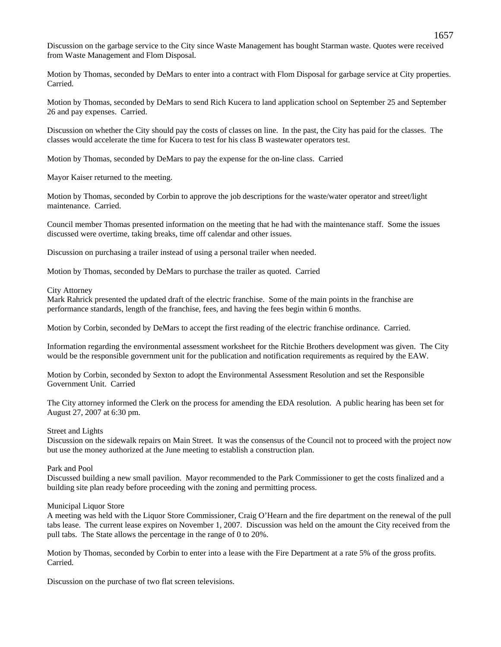Discussion on the garbage service to the City since Waste Management has bought Starman waste. Quotes were received from Waste Management and Flom Disposal.

Motion by Thomas, seconded by DeMars to enter into a contract with Flom Disposal for garbage service at City properties. Carried.

Motion by Thomas, seconded by DeMars to send Rich Kucera to land application school on September 25 and September 26 and pay expenses. Carried.

Discussion on whether the City should pay the costs of classes on line. In the past, the City has paid for the classes. The classes would accelerate the time for Kucera to test for his class B wastewater operators test.

Motion by Thomas, seconded by DeMars to pay the expense for the on-line class. Carried

Mayor Kaiser returned to the meeting.

Motion by Thomas, seconded by Corbin to approve the job descriptions for the waste/water operator and street/light maintenance. Carried.

Council member Thomas presented information on the meeting that he had with the maintenance staff. Some the issues discussed were overtime, taking breaks, time off calendar and other issues.

Discussion on purchasing a trailer instead of using a personal trailer when needed.

Motion by Thomas, seconded by DeMars to purchase the trailer as quoted. Carried

#### City Attorney

Mark Rahrick presented the updated draft of the electric franchise. Some of the main points in the franchise are performance standards, length of the franchise, fees, and having the fees begin within 6 months.

Motion by Corbin, seconded by DeMars to accept the first reading of the electric franchise ordinance. Carried.

Information regarding the environmental assessment worksheet for the Ritchie Brothers development was given. The City would be the responsible government unit for the publication and notification requirements as required by the EAW.

Motion by Corbin, seconded by Sexton to adopt the Environmental Assessment Resolution and set the Responsible Government Unit. Carried

The City attorney informed the Clerk on the process for amending the EDA resolution. A public hearing has been set for August 27, 2007 at 6:30 pm.

#### Street and Lights

Discussion on the sidewalk repairs on Main Street. It was the consensus of the Council not to proceed with the project now but use the money authorized at the June meeting to establish a construction plan.

# Park and Pool

Discussed building a new small pavilion. Mayor recommended to the Park Commissioner to get the costs finalized and a building site plan ready before proceeding with the zoning and permitting process.

#### Municipal Liquor Store

A meeting was held with the Liquor Store Commissioner, Craig O'Hearn and the fire department on the renewal of the pull tabs lease. The current lease expires on November 1, 2007. Discussion was held on the amount the City received from the pull tabs. The State allows the percentage in the range of 0 to 20%.

Motion by Thomas, seconded by Corbin to enter into a lease with the Fire Department at a rate 5% of the gross profits. Carried.

Discussion on the purchase of two flat screen televisions.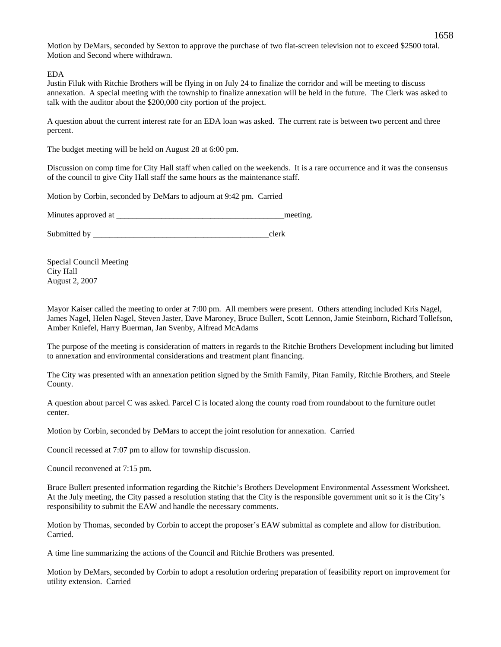Motion by DeMars, seconded by Sexton to approve the purchase of two flat-screen television not to exceed \$2500 total. Motion and Second where withdrawn.

EDA

Justin Filuk with Ritchie Brothers will be flying in on July 24 to finalize the corridor and will be meeting to discuss annexation. A special meeting with the township to finalize annexation will be held in the future. The Clerk was asked to talk with the auditor about the \$200,000 city portion of the project.

A question about the current interest rate for an EDA loan was asked. The current rate is between two percent and three percent.

The budget meeting will be held on August 28 at 6:00 pm.

Discussion on comp time for City Hall staff when called on the weekends. It is a rare occurrence and it was the consensus of the council to give City Hall staff the same hours as the maintenance staff.

Motion by Corbin, seconded by DeMars to adjourn at 9:42 pm. Carried

Minutes approved at the setting and the setting meeting.

Submitted by \_\_\_\_\_\_\_\_\_\_\_\_\_\_\_\_\_\_\_\_\_\_\_\_\_\_\_\_\_\_\_\_\_\_\_\_\_\_\_\_\_\_\_clerk

Special Council Meeting City Hall August 2, 2007

Mayor Kaiser called the meeting to order at 7:00 pm. All members were present. Others attending included Kris Nagel, James Nagel, Helen Nagel, Steven Jaster, Dave Maroney, Bruce Bullert, Scott Lennon, Jamie Steinborn, Richard Tollefson, Amber Kniefel, Harry Buerman, Jan Svenby, Alfread McAdams

The purpose of the meeting is consideration of matters in regards to the Ritchie Brothers Development including but limited to annexation and environmental considerations and treatment plant financing.

The City was presented with an annexation petition signed by the Smith Family, Pitan Family, Ritchie Brothers, and Steele County.

A question about parcel C was asked. Parcel C is located along the county road from roundabout to the furniture outlet center.

Motion by Corbin, seconded by DeMars to accept the joint resolution for annexation. Carried

Council recessed at 7:07 pm to allow for township discussion.

Council reconvened at 7:15 pm.

Bruce Bullert presented information regarding the Ritchie's Brothers Development Environmental Assessment Worksheet. At the July meeting, the City passed a resolution stating that the City is the responsible government unit so it is the City's responsibility to submit the EAW and handle the necessary comments.

Motion by Thomas, seconded by Corbin to accept the proposer's EAW submittal as complete and allow for distribution. Carried.

A time line summarizing the actions of the Council and Ritchie Brothers was presented.

Motion by DeMars, seconded by Corbin to adopt a resolution ordering preparation of feasibility report on improvement for utility extension. Carried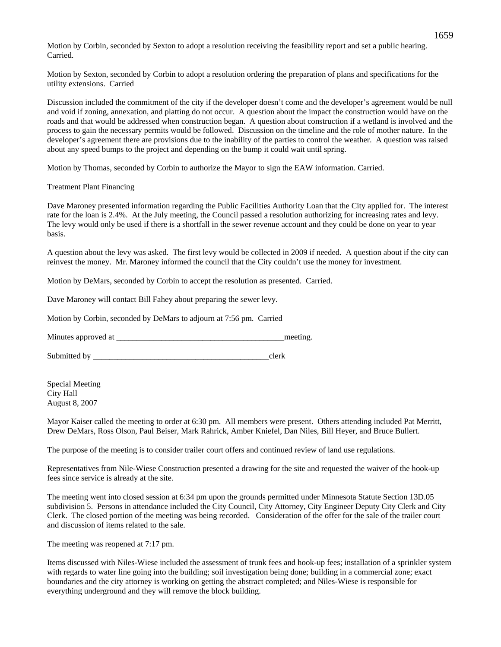Motion by Corbin, seconded by Sexton to adopt a resolution receiving the feasibility report and set a public hearing. Carried.

Motion by Sexton, seconded by Corbin to adopt a resolution ordering the preparation of plans and specifications for the utility extensions. Carried

Discussion included the commitment of the city if the developer doesn't come and the developer's agreement would be null and void if zoning, annexation, and platting do not occur. A question about the impact the construction would have on the roads and that would be addressed when construction began. A question about construction if a wetland is involved and the process to gain the necessary permits would be followed. Discussion on the timeline and the role of mother nature. In the developer's agreement there are provisions due to the inability of the parties to control the weather. A question was raised about any speed bumps to the project and depending on the bump it could wait until spring.

Motion by Thomas, seconded by Corbin to authorize the Mayor to sign the EAW information. Carried.

Treatment Plant Financing

Dave Maroney presented information regarding the Public Facilities Authority Loan that the City applied for. The interest rate for the loan is 2.4%. At the July meeting, the Council passed a resolution authorizing for increasing rates and levy. The levy would only be used if there is a shortfall in the sewer revenue account and they could be done on year to year basis.

A question about the levy was asked. The first levy would be collected in 2009 if needed. A question about if the city can reinvest the money. Mr. Maroney informed the council that the City couldn't use the money for investment.

Motion by DeMars, seconded by Corbin to accept the resolution as presented. Carried.

Dave Maroney will contact Bill Fahey about preparing the sewer levy.

Motion by Corbin, seconded by DeMars to adjourn at 7:56 pm. Carried

Minutes approved at \_\_\_\_\_\_\_\_\_\_\_\_\_\_\_\_\_\_\_\_\_\_\_\_\_\_\_\_\_\_\_\_\_\_\_\_\_\_\_\_\_meeting.

Submitted by  $\qquad \qquad \text{clerk}$ 

Special Meeting City Hall August 8, 2007

Mayor Kaiser called the meeting to order at 6:30 pm. All members were present. Others attending included Pat Merritt, Drew DeMars, Ross Olson, Paul Beiser, Mark Rahrick, Amber Kniefel, Dan Niles, Bill Heyer, and Bruce Bullert.

The purpose of the meeting is to consider trailer court offers and continued review of land use regulations.

Representatives from Nile-Wiese Construction presented a drawing for the site and requested the waiver of the hook-up fees since service is already at the site.

The meeting went into closed session at 6:34 pm upon the grounds permitted under Minnesota Statute Section 13D.05 subdivision 5. Persons in attendance included the City Council, City Attorney, City Engineer Deputy City Clerk and City Clerk. The closed portion of the meeting was being recorded. Consideration of the offer for the sale of the trailer court and discussion of items related to the sale.

The meeting was reopened at 7:17 pm.

Items discussed with Niles-Wiese included the assessment of trunk fees and hook-up fees; installation of a sprinkler system with regards to water line going into the building; soil investigation being done; building in a commercial zone; exact boundaries and the city attorney is working on getting the abstract completed; and Niles-Wiese is responsible for everything underground and they will remove the block building.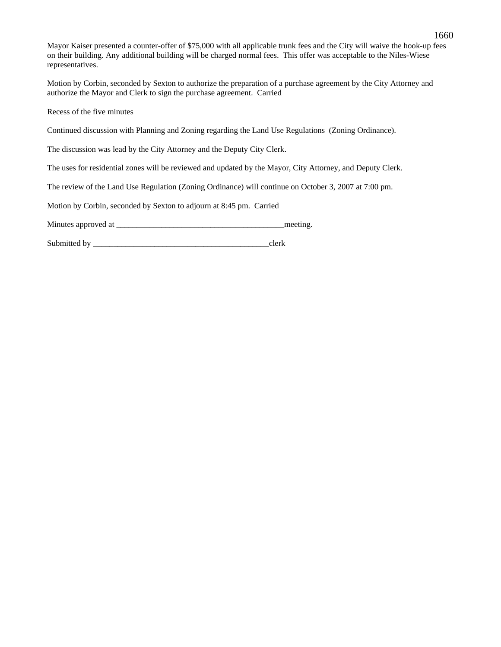Mayor Kaiser presented a counter-offer of \$75,000 with all applicable trunk fees and the City will waive the hook-up fees on their building. Any additional building will be charged normal fees. This offer was acceptable to the Niles-Wiese representatives.

Motion by Corbin, seconded by Sexton to authorize the preparation of a purchase agreement by the City Attorney and authorize the Mayor and Clerk to sign the purchase agreement. Carried

Recess of the five minutes

Continued discussion with Planning and Zoning regarding the Land Use Regulations (Zoning Ordinance).

The discussion was lead by the City Attorney and the Deputy City Clerk.

The uses for residential zones will be reviewed and updated by the Mayor, City Attorney, and Deputy Clerk.

The review of the Land Use Regulation (Zoning Ordinance) will continue on October 3, 2007 at 7:00 pm.

Motion by Corbin, seconded by Sexton to adjourn at 8:45 pm. Carried

Minutes approved at \_\_\_\_\_\_\_\_\_\_\_\_\_\_\_\_\_\_\_\_\_\_\_\_\_\_\_\_\_\_\_\_\_\_\_\_\_\_\_\_\_meeting.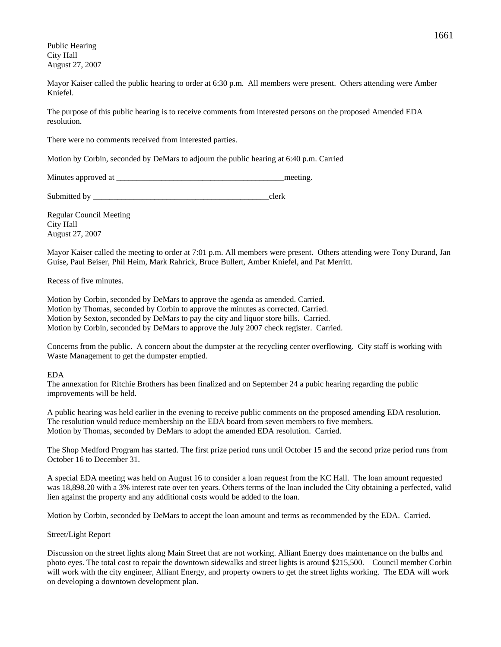Public Hearing City Hall August 27, 2007

Mayor Kaiser called the public hearing to order at 6:30 p.m. All members were present. Others attending were Amber Kniefel.

The purpose of this public hearing is to receive comments from interested persons on the proposed Amended EDA resolution.

There were no comments received from interested parties.

Motion by Corbin, seconded by DeMars to adjourn the public hearing at 6:40 p.m. Carried

Minutes approved at \_\_\_\_\_\_\_\_\_\_\_\_\_\_\_\_\_\_\_\_\_\_\_\_\_\_\_\_\_\_\_\_\_\_\_\_\_\_\_\_\_meeting.

Submitted by \_\_\_\_\_\_\_\_\_\_\_\_\_\_\_\_\_\_\_\_\_\_\_\_\_\_\_\_\_\_\_\_\_\_\_\_\_\_\_\_\_\_\_clerk

Regular Council Meeting City Hall August 27, 2007

Mayor Kaiser called the meeting to order at 7:01 p.m. All members were present. Others attending were Tony Durand, Jan Guise, Paul Beiser, Phil Heim, Mark Rahrick, Bruce Bullert, Amber Kniefel, and Pat Merritt.

Recess of five minutes.

Motion by Corbin, seconded by DeMars to approve the agenda as amended. Carried. Motion by Thomas, seconded by Corbin to approve the minutes as corrected. Carried. Motion by Sexton, seconded by DeMars to pay the city and liquor store bills. Carried. Motion by Corbin, seconded by DeMars to approve the July 2007 check register. Carried.

Concerns from the public. A concern about the dumpster at the recycling center overflowing. City staff is working with Waste Management to get the dumpster emptied.

#### EDA

The annexation for Ritchie Brothers has been finalized and on September 24 a pubic hearing regarding the public improvements will be held.

A public hearing was held earlier in the evening to receive public comments on the proposed amending EDA resolution. The resolution would reduce membership on the EDA board from seven members to five members. Motion by Thomas, seconded by DeMars to adopt the amended EDA resolution. Carried.

The Shop Medford Program has started. The first prize period runs until October 15 and the second prize period runs from October 16 to December 31.

A special EDA meeting was held on August 16 to consider a loan request from the KC Hall. The loan amount requested was 18,898.20 with a 3% interest rate over ten years. Others terms of the loan included the City obtaining a perfected, valid lien against the property and any additional costs would be added to the loan.

Motion by Corbin, seconded by DeMars to accept the loan amount and terms as recommended by the EDA. Carried.

## Street/Light Report

Discussion on the street lights along Main Street that are not working. Alliant Energy does maintenance on the bulbs and photo eyes. The total cost to repair the downtown sidewalks and street lights is around \$215,500. Council member Corbin will work with the city engineer, Alliant Energy, and property owners to get the street lights working. The EDA will work on developing a downtown development plan.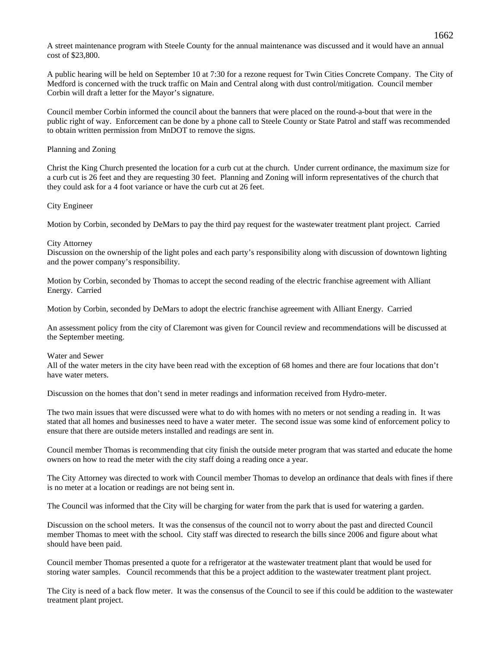A street maintenance program with Steele County for the annual maintenance was discussed and it would have an annual cost of \$23,800.

A public hearing will be held on September 10 at 7:30 for a rezone request for Twin Cities Concrete Company. The City of Medford is concerned with the truck traffic on Main and Central along with dust control/mitigation. Council member Corbin will draft a letter for the Mayor's signature.

Council member Corbin informed the council about the banners that were placed on the round-a-bout that were in the public right of way. Enforcement can be done by a phone call to Steele County or State Patrol and staff was recommended to obtain written permission from MnDOT to remove the signs.

## Planning and Zoning

Christ the King Church presented the location for a curb cut at the church. Under current ordinance, the maximum size for a curb cut is 26 feet and they are requesting 30 feet. Planning and Zoning will inform representatives of the church that they could ask for a 4 foot variance or have the curb cut at 26 feet.

## City Engineer

Motion by Corbin, seconded by DeMars to pay the third pay request for the wastewater treatment plant project. Carried

# City Attorney

Discussion on the ownership of the light poles and each party's responsibility along with discussion of downtown lighting and the power company's responsibility.

Motion by Corbin, seconded by Thomas to accept the second reading of the electric franchise agreement with Alliant Energy. Carried

Motion by Corbin, seconded by DeMars to adopt the electric franchise agreement with Alliant Energy. Carried

An assessment policy from the city of Claremont was given for Council review and recommendations will be discussed at the September meeting.

## Water and Sewer

All of the water meters in the city have been read with the exception of 68 homes and there are four locations that don't have water meters.

Discussion on the homes that don't send in meter readings and information received from Hydro-meter.

The two main issues that were discussed were what to do with homes with no meters or not sending a reading in. It was stated that all homes and businesses need to have a water meter. The second issue was some kind of enforcement policy to ensure that there are outside meters installed and readings are sent in.

Council member Thomas is recommending that city finish the outside meter program that was started and educate the home owners on how to read the meter with the city staff doing a reading once a year.

The City Attorney was directed to work with Council member Thomas to develop an ordinance that deals with fines if there is no meter at a location or readings are not being sent in.

The Council was informed that the City will be charging for water from the park that is used for watering a garden.

Discussion on the school meters. It was the consensus of the council not to worry about the past and directed Council member Thomas to meet with the school. City staff was directed to research the bills since 2006 and figure about what should have been paid.

Council member Thomas presented a quote for a refrigerator at the wastewater treatment plant that would be used for storing water samples. Council recommends that this be a project addition to the wastewater treatment plant project.

The City is need of a back flow meter. It was the consensus of the Council to see if this could be addition to the wastewater treatment plant project.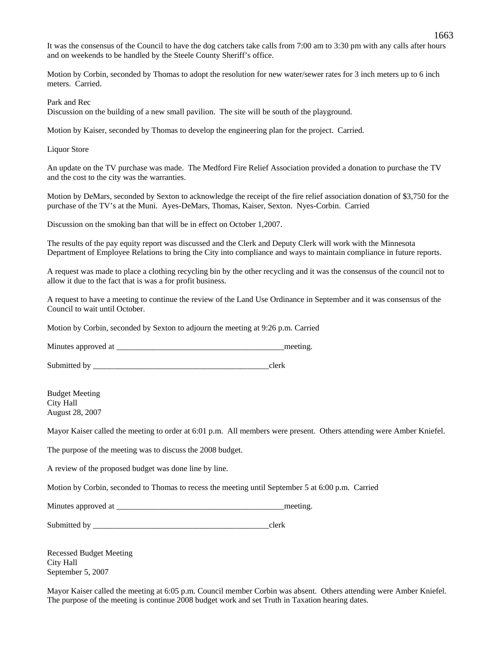It was the consensus of the Council to have the dog catchers take calls from 7:00 am to 3:30 pm with any calls after hours and on weekends to be handled by the Steele County Sheriff's office.

Motion by Corbin, seconded by Thomas to adopt the resolution for new water/sewer rates for 3 inch meters up to 6 inch meters. Carried.

Park and Rec

Discussion on the building of a new small pavilion. The site will be south of the playground.

Motion by Kaiser, seconded by Thomas to develop the engineering plan for the project. Carried.

Liquor Store

An update on the TV purchase was made. The Medford Fire Relief Association provided a donation to purchase the TV and the cost to the city was the warranties.

Motion by DeMars, seconded by Sexton to acknowledge the receipt of the fire relief association donation of \$3,750 for the purchase of the TV's at the Muni. Ayes-DeMars, Thomas, Kaiser, Sexton. Nyes-Corbin. Carried

Discussion on the smoking ban that will be in effect on October 1,2007.

The results of the pay equity report was discussed and the Clerk and Deputy Clerk will work with the Minnesota Department of Employee Relations to bring the City into compliance and ways to maintain compliance in future reports.

A request was made to place a clothing recycling bin by the other recycling and it was the consensus of the council not to allow it due to the fact that is was a for profit business.

A request to have a meeting to continue the review of the Land Use Ordinance in September and it was consensus of the Council to wait until October.

Motion by Corbin, seconded by Sexton to adjourn the meeting at 9:26 p.m. Carried

Minutes approved at \_\_\_\_\_\_\_\_\_\_\_\_\_\_\_\_\_\_\_\_\_\_\_\_\_\_\_\_\_\_\_\_\_\_\_\_\_\_\_\_\_meeting.

Submitted by \_\_\_\_\_\_\_\_\_\_\_\_\_\_\_\_\_\_\_\_\_\_\_\_\_\_\_\_\_\_\_\_\_\_\_\_\_\_\_\_\_\_\_clerk

Budget Meeting City Hall August 28, 2007

Mayor Kaiser called the meeting to order at 6:01 p.m. All members were present. Others attending were Amber Kniefel.

The purpose of the meeting was to discuss the 2008 budget.

A review of the proposed budget was done line by line.

Motion by Corbin, seconded to Thomas to recess the meeting until September 5 at 6:00 p.m. Carried

| Minutes approved at |  | meeting |
|---------------------|--|---------|
|---------------------|--|---------|

Submitted by \_\_\_\_\_\_\_\_\_\_\_\_\_\_\_\_\_\_\_\_\_\_\_\_\_\_\_\_\_\_\_\_\_\_\_\_\_\_\_\_\_\_\_clerk

Recessed Budget Meeting City Hall September 5, 2007

Mayor Kaiser called the meeting at 6:05 p.m. Council member Corbin was absent. Others attending were Amber Kniefel. The purpose of the meeting is continue 2008 budget work and set Truth in Taxation hearing dates.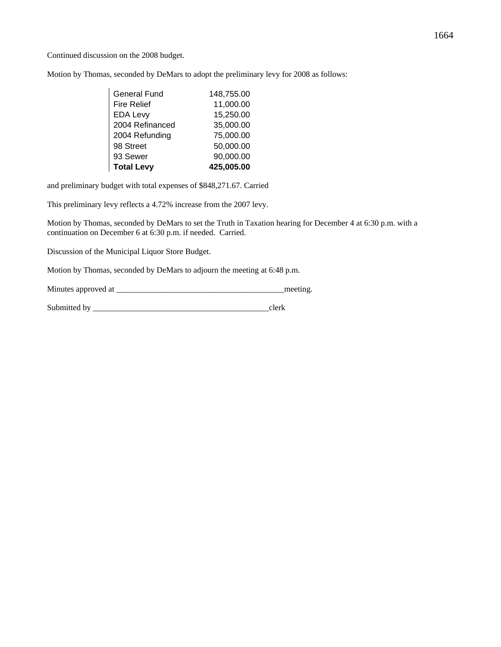Continued discussion on the 2008 budget.

Motion by Thomas, seconded by DeMars to adopt the preliminary levy for 2008 as follows:

| <b>General Fund</b> | 148,755.00 |
|---------------------|------------|
| <b>Fire Relief</b>  | 11,000.00  |
| <b>EDA Levy</b>     | 15,250.00  |
| 2004 Refinanced     | 35,000.00  |
| 2004 Refunding      | 75,000.00  |
| 98 Street           | 50,000.00  |
| 93 Sewer            | 90,000.00  |
| <b>Total Levy</b>   | 425,005.00 |

and preliminary budget with total expenses of \$848,271.67. Carried

This preliminary levy reflects a 4.72% increase from the 2007 levy.

Motion by Thomas, seconded by DeMars to set the Truth in Taxation hearing for December 4 at 6:30 p.m. with a continuation on December 6 at 6:30 p.m. if needed. Carried.

Discussion of the Municipal Liquor Store Budget.

Motion by Thomas, seconded by DeMars to adjourn the meeting at 6:48 p.m.

| Minutes approved at | meeting |
|---------------------|---------|
|                     |         |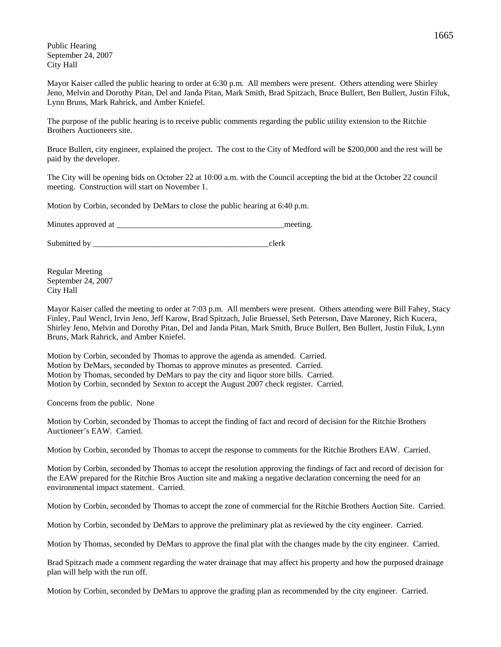Public Hearing September 24, 2007 City Hall

Mayor Kaiser called the public hearing to order at 6:30 p.m. All members were present. Others attending were Shirley Jeno, Melvin and Dorothy Pitan, Del and Janda Pitan, Mark Smith, Brad Spitzach, Bruce Bullert, Ben Bullert, Justin Filuk, Lynn Bruns, Mark Rahrick, and Amber Kniefel.

The purpose of the public hearing is to receive public comments regarding the public utility extension to the Ritchie Brothers Auctioneers site.

Bruce Bullert, city engineer, explained the project. The cost to the City of Medford will be \$200,000 and the rest will be paid by the developer.

The City will be opening bids on October 22 at 10:00 a.m. with the Council accepting the bid at the October 22 council meeting. Construction will start on November 1.

Motion by Corbin, seconded by DeMars to close the public hearing at 6:40 p.m.

Minutes approved at \_\_\_\_\_\_\_\_\_\_\_\_\_\_\_\_\_\_\_\_\_\_\_\_\_\_\_\_\_\_\_\_\_\_\_\_\_\_\_\_\_meeting.

Submitted by \_\_\_\_\_\_\_\_\_\_\_\_\_\_\_\_\_\_\_\_\_\_\_\_\_\_\_\_\_\_\_\_\_\_\_\_\_\_\_\_\_\_\_clerk

Regular Meeting September 24, 2007 City Hall

Mayor Kaiser called the meeting to order at 7:03 p.m. All members were present. Others attending were Bill Fahey, Stacy Finley, Paul Wencl, Irvin Jeno, Jeff Karow, Brad Spitzach, Julie Bruessel, Seth Peterson, Dave Maroney, Rich Kucera, Shirley Jeno, Melvin and Dorothy Pitan, Del and Janda Pitan, Mark Smith, Bruce Bullert, Ben Bullert, Justin Filuk, Lynn Bruns, Mark Rahrick, and Amber Kniefel.

Motion by Corbin, seconded by Thomas to approve the agenda as amended. Carried. Motion by DeMars, seconded by Thomas to approve minutes as presented. Carried. Motion by Thomas, seconded by DeMars to pay the city and liquor store bills. Carried. Motion by Corbin, seconded by Sexton to accept the August 2007 check register. Carried.

Concerns from the public. None

Motion by Corbin, seconded by Thomas to accept the finding of fact and record of decision for the Ritchie Brothers Auctioneer's EAW. Carried.

Motion by Corbin, seconded by Thomas to accept the response to comments for the Ritchie Brothers EAW. Carried.

Motion by Corbin, seconded by Thomas to accept the resolution approving the findings of fact and record of decision for the EAW prepared for the Ritchie Bros Auction site and making a negative declaration concerning the need for an environmental impact statement. Carried.

Motion by Corbin, seconded by Thomas to accept the zone of commercial for the Ritchie Brothers Auction Site. Carried.

Motion by Corbin, seconded by DeMars to approve the preliminary plat as reviewed by the city engineer. Carried.

Motion by Thomas, seconded by DeMars to approve the final plat with the changes made by the city engineer. Carried.

Brad Spitzach made a comment regarding the water drainage that may affect his property and how the purposed drainage plan will help with the run off.

Motion by Corbin, seconded by DeMars to approve the grading plan as recommended by the city engineer. Carried.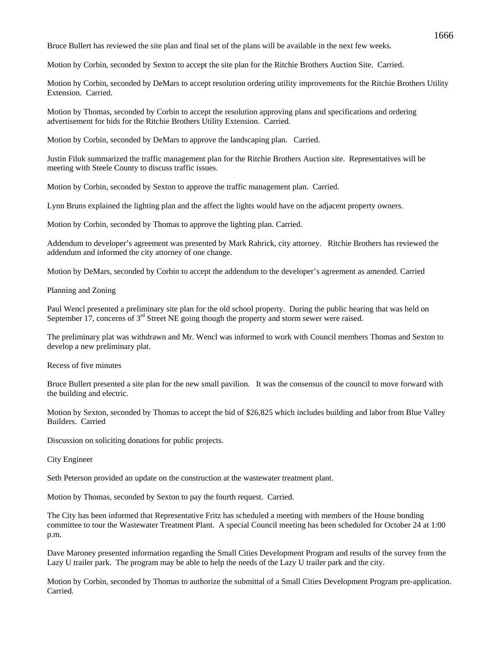Bruce Bullert has reviewed the site plan and final set of the plans will be available in the next few weeks.

Motion by Corbin, seconded by Sexton to accept the site plan for the Ritchie Brothers Auction Site. Carried.

Motion by Corbin, seconded by DeMars to accept resolution ordering utility improvements for the Ritchie Brothers Utility Extension. Carried.

Motion by Thomas, seconded by Corbin to accept the resolution approving plans and specifications and ordering advertisement for bids for the Ritchie Brothers Utility Extension. Carried.

Motion by Corbin, seconded by DeMars to approve the landscaping plan. Carried.

Justin Filuk summarized the traffic management plan for the Ritchie Brothers Auction site. Representatives will be meeting with Steele County to discuss traffic issues.

Motion by Corbin, seconded by Sexton to approve the traffic management plan. Carried.

Lynn Bruns explained the lighting plan and the affect the lights would have on the adjacent property owners.

Motion by Corbin, seconded by Thomas to approve the lighting plan. Carried.

Addendum to developer's agreement was presented by Mark Rahrick, city attorney. Ritchie Brothers has reviewed the addendum and informed the city attorney of one change.

Motion by DeMars, seconded by Corbin to accept the addendum to the developer's agreement as amended. Carried

Planning and Zoning

Paul Wencl presented a preliminary site plan for the old school property. During the public hearing that was held on September 17, concerns of 3<sup>rd</sup> Street NE going though the property and storm sewer were raised.

The preliminary plat was withdrawn and Mr. Wencl was informed to work with Council members Thomas and Sexton to develop a new preliminary plat.

Recess of five minutes

Bruce Bullert presented a site plan for the new small pavilion. It was the consensus of the council to move forward with the building and electric.

Motion by Sexton, seconded by Thomas to accept the bid of \$26,825 which includes building and labor from Blue Valley Builders. Carried

Discussion on soliciting donations for public projects.

City Engineer

Seth Peterson provided an update on the construction at the wastewater treatment plant.

Motion by Thomas, seconded by Sexton to pay the fourth request. Carried.

The City has been informed that Representative Fritz has scheduled a meeting with members of the House bonding committee to tour the Wastewater Treatment Plant. A special Council meeting has been scheduled for October 24 at 1:00 p.m.

Dave Maroney presented information regarding the Small Cities Development Program and results of the survey from the Lazy U trailer park. The program may be able to help the needs of the Lazy U trailer park and the city.

Motion by Corbin, seconded by Thomas to authorize the submittal of a Small Cities Development Program pre-application. Carried.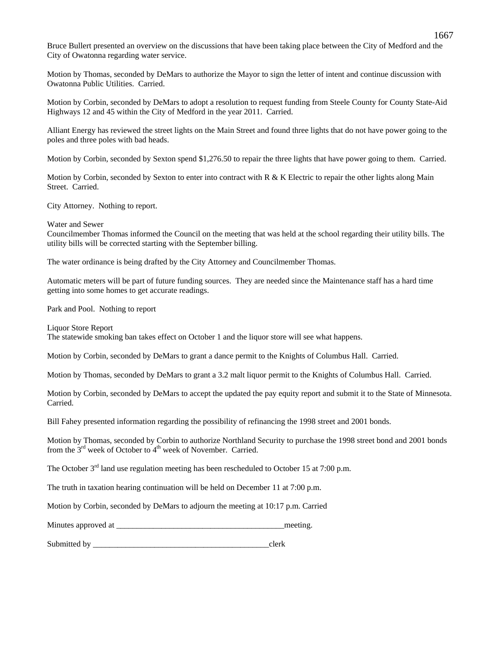Bruce Bullert presented an overview on the discussions that have been taking place between the City of Medford and the City of Owatonna regarding water service.

Motion by Thomas, seconded by DeMars to authorize the Mayor to sign the letter of intent and continue discussion with Owatonna Public Utilities. Carried.

Motion by Corbin, seconded by DeMars to adopt a resolution to request funding from Steele County for County State-Aid Highways 12 and 45 within the City of Medford in the year 2011. Carried.

Alliant Energy has reviewed the street lights on the Main Street and found three lights that do not have power going to the poles and three poles with bad heads.

Motion by Corbin, seconded by Sexton spend \$1,276.50 to repair the three lights that have power going to them. Carried.

Motion by Corbin, seconded by Sexton to enter into contract with  $R \& K$  Electric to repair the other lights along Main Street. Carried.

City Attorney. Nothing to report.

Water and Sewer

Councilmember Thomas informed the Council on the meeting that was held at the school regarding their utility bills. The utility bills will be corrected starting with the September billing.

The water ordinance is being drafted by the City Attorney and Councilmember Thomas.

Automatic meters will be part of future funding sources. They are needed since the Maintenance staff has a hard time getting into some homes to get accurate readings.

Park and Pool. Nothing to report

Liquor Store Report The statewide smoking ban takes effect on October 1 and the liquor store will see what happens.

Motion by Corbin, seconded by DeMars to grant a dance permit to the Knights of Columbus Hall. Carried.

Motion by Thomas, seconded by DeMars to grant a 3.2 malt liquor permit to the Knights of Columbus Hall. Carried.

Motion by Corbin, seconded by DeMars to accept the updated the pay equity report and submit it to the State of Minnesota. Carried.

Bill Fahey presented information regarding the possibility of refinancing the 1998 street and 2001 bonds.

Motion by Thomas, seconded by Corbin to authorize Northland Security to purchase the 1998 street bond and 2001 bonds from the  $3<sup>rd</sup>$  week of October to  $4<sup>th</sup>$  week of November. Carried.

The October  $3<sup>rd</sup>$  land use regulation meeting has been rescheduled to October 15 at 7:00 p.m.

The truth in taxation hearing continuation will be held on December 11 at 7:00 p.m.

Motion by Corbin, seconded by DeMars to adjourn the meeting at 10:17 p.m. Carried

Minutes approved at the setting and the setting meeting.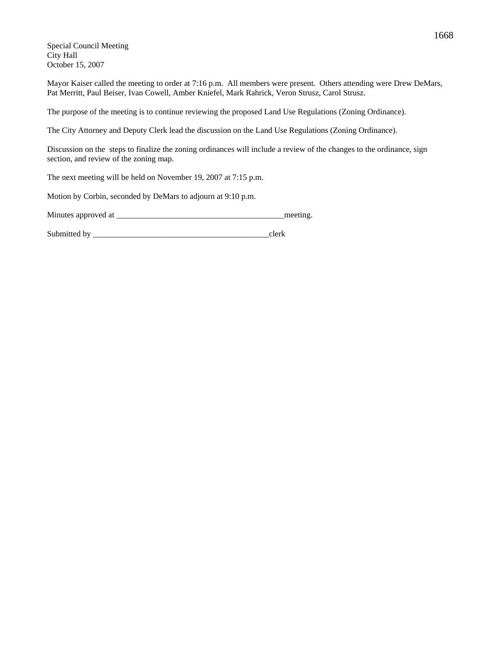Special Council Meeting City Hall October 15, 2007

Mayor Kaiser called the meeting to order at 7:16 p.m. All members were present. Others attending were Drew DeMars, Pat Merritt, Paul Beiser, Ivan Cowell, Amber Kniefel, Mark Rahrick, Veron Strusz, Carol Strusz.

The purpose of the meeting is to continue reviewing the proposed Land Use Regulations (Zoning Ordinance).

The City Attorney and Deputy Clerk lead the discussion on the Land Use Regulations (Zoning Ordinance).

Discussion on the steps to finalize the zoning ordinances will include a review of the changes to the ordinance, sign section, and review of the zoning map.

The next meeting will be held on November 19, 2007 at 7:15 p.m.

Motion by Corbin, seconded by DeMars to adjourn at 9:10 p.m.

Minutes approved at \_\_\_\_\_\_\_\_\_\_\_\_\_\_\_\_\_\_\_\_\_\_\_\_\_\_\_\_\_\_\_\_\_\_\_\_\_\_\_\_\_meeting.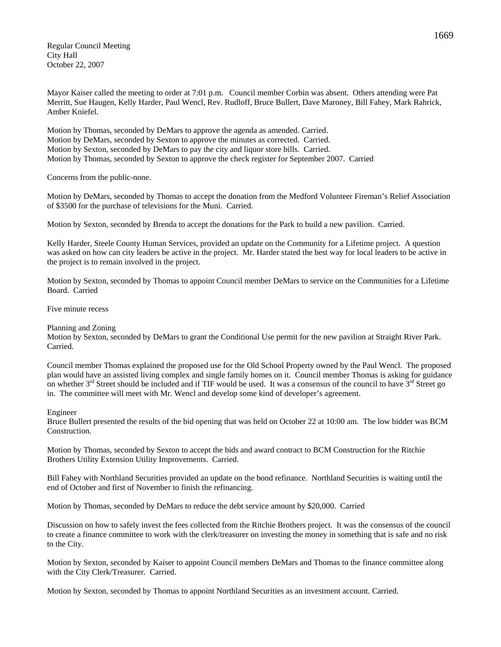Regular Council Meeting City Hall October 22, 2007

Mayor Kaiser called the meeting to order at 7:01 p.m. Council member Corbin was absent. Others attending were Pat Merritt, Sue Haugen, Kelly Harder, Paul Wencl, Rev. Rudloff, Bruce Bullert, Dave Maroney, Bill Fahey, Mark Rahrick, Amber Kniefel.

Motion by Thomas, seconded by DeMars to approve the agenda as amended. Carried. Motion by DeMars, seconded by Sexton to approve the minutes as corrected. Carried. Motion by Sexton, seconded by DeMars to pay the city and liquor store bills. Carried. Motion by Thomas, seconded by Sexton to approve the check register for September 2007. Carried

Concerns from the public-none.

Motion by DeMars, seconded by Thomas to accept the donation from the Medford Volunteer Fireman's Relief Association of \$3500 for the purchase of televisions for the Muni. Carried.

Motion by Sexton, seconded by Brenda to accept the donations for the Park to build a new pavilion. Carried.

Kelly Harder, Steele County Human Services, provided an update on the Community for a Lifetime project. A question was asked on how can city leaders be active in the project. Mr. Harder stated the best way for local leaders to be active in the project is to remain involved in the project.

Motion by Sexton, seconded by Thomas to appoint Council member DeMars to service on the Communities for a Lifetime Board. Carried

Five minute recess

## Planning and Zoning

Motion by Sexton, seconded by DeMars to grant the Conditional Use permit for the new pavilion at Straight River Park. Carried.

Council member Thomas explained the proposed use for the Old School Property owned by the Paul Wencl. The proposed plan would have an assisted living complex and single family homes on it. Council member Thomas is asking for guidance on whether  $3<sup>rd</sup>$  Street should be included and if TIF would be used. It was a consensus of the council to have  $3<sup>rd</sup>$  Street go in. The committee will meet with Mr. Wencl and develop some kind of developer's agreement.

## Engineer

Bruce Bullert presented the results of the bid opening that was held on October 22 at 10:00 am. The low bidder was BCM Construction.

Motion by Thomas, seconded by Sexton to accept the bids and award contract to BCM Construction for the Ritchie Brothers Utility Extension Utility Improvements. Carried.

Bill Fahey with Northland Securities provided an update on the bond refinance. Northland Securities is waiting until the end of October and first of November to finish the refinancing.

Motion by Thomas, seconded by DeMars to reduce the debt service amount by \$20,000. Carried

Discussion on how to safely invest the fees collected from the Ritchie Brothers project. It was the consensus of the council to create a finance committee to work with the clerk/treasurer on investing the money in something that is safe and no risk to the City.

Motion by Sexton, seconded by Kaiser to appoint Council members DeMars and Thomas to the finance committee along with the City Clerk/Treasurer. Carried.

Motion by Sexton, seconded by Thomas to appoint Northland Securities as an investment account. Carried.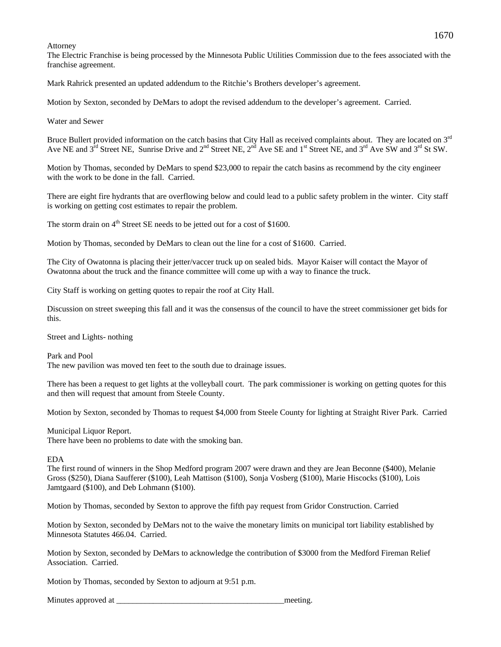#### Attorney

The Electric Franchise is being processed by the Minnesota Public Utilities Commission due to the fees associated with the franchise agreement.

Mark Rahrick presented an updated addendum to the Ritchie's Brothers developer's agreement.

Motion by Sexton, seconded by DeMars to adopt the revised addendum to the developer's agreement. Carried.

Water and Sewer

Bruce Bullert provided information on the catch basins that City Hall as received complaints about. They are located on 3<sup>rd</sup> Ave NE and  $3^{rd}$  Street NE, Sunrise Drive and  $2^{nd}$  Street NE,  $2^{nd}$  Ave SE and  $1^{st}$  Street NE, and  $3^{rd}$  Ave SW and  $3^{rd}$  St SW.

Motion by Thomas, seconded by DeMars to spend \$23,000 to repair the catch basins as recommend by the city engineer with the work to be done in the fall. Carried.

There are eight fire hydrants that are overflowing below and could lead to a public safety problem in the winter. City staff is working on getting cost estimates to repair the problem.

The storm drain on 4<sup>th</sup> Street SE needs to be jetted out for a cost of \$1600.

Motion by Thomas, seconded by DeMars to clean out the line for a cost of \$1600. Carried.

The City of Owatonna is placing their jetter/vaccer truck up on sealed bids. Mayor Kaiser will contact the Mayor of Owatonna about the truck and the finance committee will come up with a way to finance the truck.

City Staff is working on getting quotes to repair the roof at City Hall.

Discussion on street sweeping this fall and it was the consensus of the council to have the street commissioner get bids for this.

Street and Lights- nothing

Park and Pool The new pavilion was moved ten feet to the south due to drainage issues.

There has been a request to get lights at the volleyball court. The park commissioner is working on getting quotes for this and then will request that amount from Steele County.

Motion by Sexton, seconded by Thomas to request \$4,000 from Steele County for lighting at Straight River Park. Carried

Municipal Liquor Report.

There have been no problems to date with the smoking ban.

EDA

The first round of winners in the Shop Medford program 2007 were drawn and they are Jean Beconne (\$400), Melanie Gross (\$250), Diana Saufferer (\$100), Leah Mattison (\$100), Sonja Vosberg (\$100), Marie Hiscocks (\$100), Lois Jamtgaard (\$100), and Deb Lohmann (\$100).

Motion by Thomas, seconded by Sexton to approve the fifth pay request from Gridor Construction. Carried

Motion by Sexton, seconded by DeMars not to the waive the monetary limits on municipal tort liability established by Minnesota Statutes 466.04. Carried.

Motion by Sexton, seconded by DeMars to acknowledge the contribution of \$3000 from the Medford Fireman Relief Association. Carried.

Motion by Thomas, seconded by Sexton to adjourn at 9:51 p.m.

Minutes approved at \_\_\_\_\_\_\_\_\_\_\_\_\_\_\_\_\_\_\_\_\_\_\_\_\_\_\_\_\_\_\_\_\_\_\_\_\_\_\_\_\_meeting.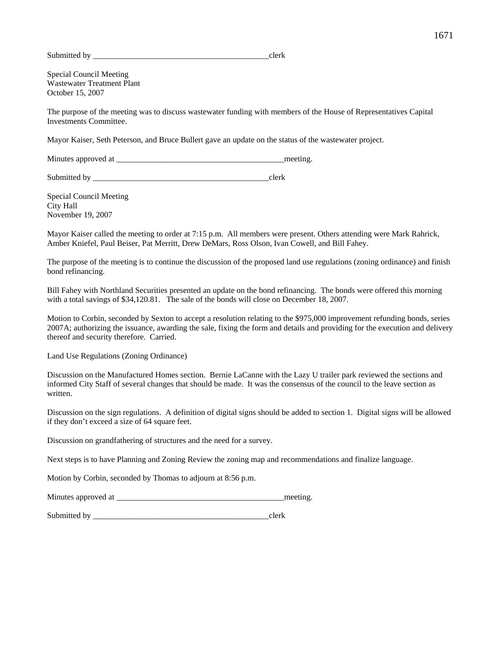Submitted by even clerk

Special Council Meeting Wastewater Treatment Plant October 15, 2007

The purpose of the meeting was to discuss wastewater funding with members of the House of Representatives Capital Investments Committee.

Mayor Kaiser, Seth Peterson, and Bruce Bullert gave an update on the status of the wastewater project.

Minutes approved at the setting and the setting meeting.

Submitted by  $\qquad \qquad \text{clerk}$ 

Special Council Meeting City Hall November 19, 2007

Mayor Kaiser called the meeting to order at 7:15 p.m. All members were present. Others attending were Mark Rahrick, Amber Kniefel, Paul Beiser, Pat Merritt, Drew DeMars, Ross Olson, Ivan Cowell, and Bill Fahey.

The purpose of the meeting is to continue the discussion of the proposed land use regulations (zoning ordinance) and finish bond refinancing.

Bill Fahey with Northland Securities presented an update on the bond refinancing. The bonds were offered this morning with a total savings of \$34,120.81. The sale of the bonds will close on December 18, 2007.

Motion to Corbin, seconded by Sexton to accept a resolution relating to the \$975,000 improvement refunding bonds, series 2007A; authorizing the issuance, awarding the sale, fixing the form and details and providing for the execution and delivery thereof and security therefore. Carried.

Land Use Regulations (Zoning Ordinance)

Discussion on the Manufactured Homes section. Bernie LaCanne with the Lazy U trailer park reviewed the sections and informed City Staff of several changes that should be made. It was the consensus of the council to the leave section as written.

Discussion on the sign regulations. A definition of digital signs should be added to section 1. Digital signs will be allowed if they don't exceed a size of 64 square feet.

Discussion on grandfathering of structures and the need for a survey.

Next steps is to have Planning and Zoning Review the zoning map and recommendations and finalize language.

Motion by Corbin, seconded by Thomas to adjourn at 8:56 p.m.

Minutes approved at \_\_\_\_\_\_\_\_\_\_\_\_\_\_\_\_\_\_\_\_\_\_\_\_\_\_\_\_\_\_\_\_\_\_\_\_\_\_\_\_\_meeting.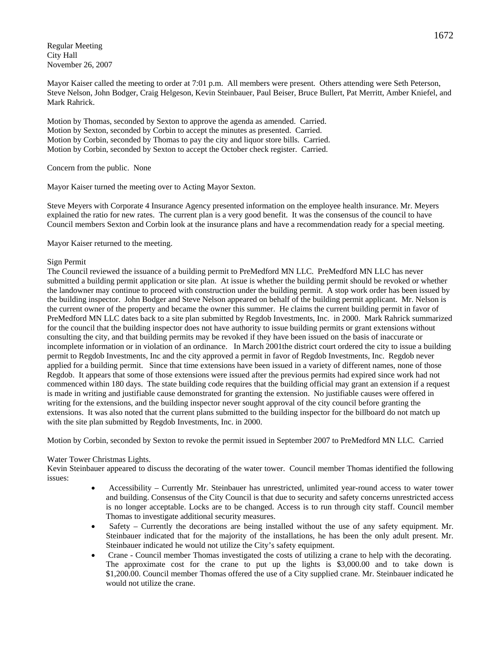Regular Meeting City Hall November 26, 2007

Mayor Kaiser called the meeting to order at 7:01 p.m. All members were present. Others attending were Seth Peterson, Steve Nelson, John Bodger, Craig Helgeson, Kevin Steinbauer, Paul Beiser, Bruce Bullert, Pat Merritt, Amber Kniefel, and Mark Rahrick.

Motion by Thomas, seconded by Sexton to approve the agenda as amended. Carried. Motion by Sexton, seconded by Corbin to accept the minutes as presented. Carried. Motion by Corbin, seconded by Thomas to pay the city and liquor store bills. Carried. Motion by Corbin, seconded by Sexton to accept the October check register. Carried.

Concern from the public. None

Mayor Kaiser turned the meeting over to Acting Mayor Sexton.

Steve Meyers with Corporate 4 Insurance Agency presented information on the employee health insurance. Mr. Meyers explained the ratio for new rates. The current plan is a very good benefit. It was the consensus of the council to have Council members Sexton and Corbin look at the insurance plans and have a recommendation ready for a special meeting.

Mayor Kaiser returned to the meeting.

# Sign Permit

The Council reviewed the issuance of a building permit to PreMedford MN LLC. PreMedford MN LLC has never submitted a building permit application or site plan. At issue is whether the building permit should be revoked or whether the landowner may continue to proceed with construction under the building permit. A stop work order has been issued by the building inspector. John Bodger and Steve Nelson appeared on behalf of the building permit applicant. Mr. Nelson is the current owner of the property and became the owner this summer. He claims the current building permit in favor of PreMedford MN LLC dates back to a site plan submitted by Regdob Investments, Inc. in 2000. Mark Rahrick summarized for the council that the building inspector does not have authority to issue building permits or grant extensions without consulting the city, and that building permits may be revoked if they have been issued on the basis of inaccurate or incomplete information or in violation of an ordinance. In March 2001the district court ordered the city to issue a building permit to Regdob Investments, Inc and the city approved a permit in favor of Regdob Investments, Inc. Regdob never applied for a building permit. Since that time extensions have been issued in a variety of different names, none of those Regdob. It appears that some of those extensions were issued after the previous permits had expired since work had not commenced within 180 days. The state building code requires that the building official may grant an extension if a request is made in writing and justifiable cause demonstrated for granting the extension. No justifiable causes were offered in writing for the extensions, and the building inspector never sought approval of the city council before granting the extensions. It was also noted that the current plans submitted to the building inspector for the billboard do not match up with the site plan submitted by Regdob Investments, Inc. in 2000.

Motion by Corbin, seconded by Sexton to revoke the permit issued in September 2007 to PreMedford MN LLC. Carried

## Water Tower Christmas Lights.

Kevin Steinbauer appeared to discuss the decorating of the water tower. Council member Thomas identified the following issues:

- Accessibility Currently Mr. Steinbauer has unrestricted, unlimited year-round access to water tower and building. Consensus of the City Council is that due to security and safety concerns unrestricted access is no longer acceptable. Locks are to be changed. Access is to run through city staff. Council member Thomas to investigate additional security measures.
- Safety Currently the decorations are being installed without the use of any safety equipment. Mr. Steinbauer indicated that for the majority of the installations, he has been the only adult present. Mr. Steinbauer indicated he would not utilize the City's safety equipment.
- Crane Council member Thomas investigated the costs of utilizing a crane to help with the decorating. The approximate cost for the crane to put up the lights is \$3,000.00 and to take down is \$1,200.00. Council member Thomas offered the use of a City supplied crane. Mr. Steinbauer indicated he would not utilize the crane.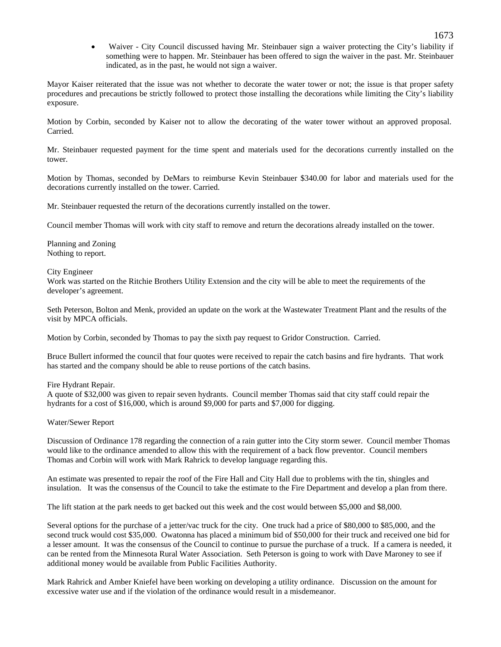• Waiver - City Council discussed having Mr. Steinbauer sign a waiver protecting the City's liability if something were to happen. Mr. Steinbauer has been offered to sign the waiver in the past. Mr. Steinbauer indicated, as in the past, he would not sign a waiver.

Mayor Kaiser reiterated that the issue was not whether to decorate the water tower or not; the issue is that proper safety procedures and precautions be strictly followed to protect those installing the decorations while limiting the City's liability exposure.

Motion by Corbin, seconded by Kaiser not to allow the decorating of the water tower without an approved proposal. Carried.

Mr. Steinbauer requested payment for the time spent and materials used for the decorations currently installed on the tower.

Motion by Thomas, seconded by DeMars to reimburse Kevin Steinbauer \$340.00 for labor and materials used for the decorations currently installed on the tower. Carried.

Mr. Steinbauer requested the return of the decorations currently installed on the tower.

Council member Thomas will work with city staff to remove and return the decorations already installed on the tower.

Planning and Zoning Nothing to report.

City Engineer

Work was started on the Ritchie Brothers Utility Extension and the city will be able to meet the requirements of the developer's agreement.

Seth Peterson, Bolton and Menk, provided an update on the work at the Wastewater Treatment Plant and the results of the visit by MPCA officials.

Motion by Corbin, seconded by Thomas to pay the sixth pay request to Gridor Construction. Carried.

Bruce Bullert informed the council that four quotes were received to repair the catch basins and fire hydrants. That work has started and the company should be able to reuse portions of the catch basins.

Fire Hydrant Repair.

A quote of \$32,000 was given to repair seven hydrants. Council member Thomas said that city staff could repair the hydrants for a cost of \$16,000, which is around \$9,000 for parts and \$7,000 for digging.

Water/Sewer Report

Discussion of Ordinance 178 regarding the connection of a rain gutter into the City storm sewer. Council member Thomas would like to the ordinance amended to allow this with the requirement of a back flow preventor. Council members Thomas and Corbin will work with Mark Rahrick to develop language regarding this.

An estimate was presented to repair the roof of the Fire Hall and City Hall due to problems with the tin, shingles and insulation. It was the consensus of the Council to take the estimate to the Fire Department and develop a plan from there.

The lift station at the park needs to get backed out this week and the cost would between \$5,000 and \$8,000.

Several options for the purchase of a jetter/vac truck for the city. One truck had a price of \$80,000 to \$85,000, and the second truck would cost \$35,000. Owatonna has placed a minimum bid of \$50,000 for their truck and received one bid for a lesser amount. It was the consensus of the Council to continue to pursue the purchase of a truck. If a camera is needed, it can be rented from the Minnesota Rural Water Association. Seth Peterson is going to work with Dave Maroney to see if additional money would be available from Public Facilities Authority.

Mark Rahrick and Amber Kniefel have been working on developing a utility ordinance. Discussion on the amount for excessive water use and if the violation of the ordinance would result in a misdemeanor.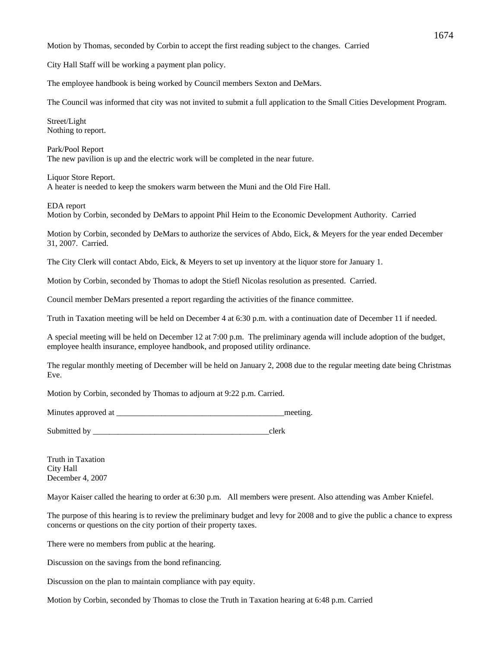Motion by Thomas, seconded by Corbin to accept the first reading subject to the changes. Carried

City Hall Staff will be working a payment plan policy.

The employee handbook is being worked by Council members Sexton and DeMars.

The Council was informed that city was not invited to submit a full application to the Small Cities Development Program.

Street/Light Nothing to report.

Park/Pool Report The new pavilion is up and the electric work will be completed in the near future.

Liquor Store Report. A heater is needed to keep the smokers warm between the Muni and the Old Fire Hall.

EDA report Motion by Corbin, seconded by DeMars to appoint Phil Heim to the Economic Development Authority. Carried

Motion by Corbin, seconded by DeMars to authorize the services of Abdo, Eick, & Meyers for the year ended December 31, 2007. Carried.

The City Clerk will contact Abdo, Eick, & Meyers to set up inventory at the liquor store for January 1.

Motion by Corbin, seconded by Thomas to adopt the Stiefl Nicolas resolution as presented. Carried.

Council member DeMars presented a report regarding the activities of the finance committee.

Truth in Taxation meeting will be held on December 4 at 6:30 p.m. with a continuation date of December 11 if needed.

A special meeting will be held on December 12 at 7:00 p.m. The preliminary agenda will include adoption of the budget, employee health insurance, employee handbook, and proposed utility ordinance.

The regular monthly meeting of December will be held on January 2, 2008 due to the regular meeting date being Christmas Eve.

Motion by Corbin, seconded by Thomas to adjourn at 9:22 p.m. Carried.

Minutes approved at \_\_\_\_\_\_\_\_\_\_\_\_\_\_\_\_\_\_\_\_\_\_\_\_\_\_\_\_\_\_\_\_\_\_\_\_\_\_\_\_\_meeting.

Submitted by \_\_\_\_\_\_\_\_\_\_\_\_\_\_\_\_\_\_\_\_\_\_\_\_\_\_\_\_\_\_\_\_\_\_\_\_\_\_\_\_\_\_\_clerk

Truth in Taxation City Hall December 4, 2007

Mayor Kaiser called the hearing to order at 6:30 p.m. All members were present. Also attending was Amber Kniefel.

The purpose of this hearing is to review the preliminary budget and levy for 2008 and to give the public a chance to express concerns or questions on the city portion of their property taxes.

There were no members from public at the hearing.

Discussion on the savings from the bond refinancing.

Discussion on the plan to maintain compliance with pay equity.

Motion by Corbin, seconded by Thomas to close the Truth in Taxation hearing at 6:48 p.m. Carried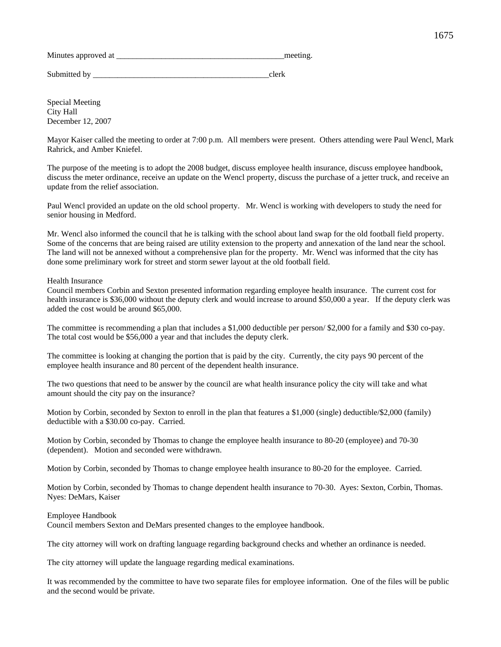Minutes approved at the meeting.

Submitted by \_\_\_\_\_\_\_\_\_\_\_\_\_\_\_\_\_\_\_\_\_\_\_\_\_\_\_\_\_\_\_\_\_\_\_\_\_\_\_\_\_\_\_clerk

Special Meeting City Hall December 12, 2007

Mayor Kaiser called the meeting to order at 7:00 p.m. All members were present. Others attending were Paul Wencl, Mark Rahrick, and Amber Kniefel.

The purpose of the meeting is to adopt the 2008 budget, discuss employee health insurance, discuss employee handbook, discuss the meter ordinance, receive an update on the Wencl property, discuss the purchase of a jetter truck, and receive an update from the relief association.

Paul Wencl provided an update on the old school property. Mr. Wencl is working with developers to study the need for senior housing in Medford.

Mr. Wencl also informed the council that he is talking with the school about land swap for the old football field property. Some of the concerns that are being raised are utility extension to the property and annexation of the land near the school. The land will not be annexed without a comprehensive plan for the property. Mr. Wencl was informed that the city has done some preliminary work for street and storm sewer layout at the old football field.

# Health Insurance

Council members Corbin and Sexton presented information regarding employee health insurance. The current cost for health insurance is \$36,000 without the deputy clerk and would increase to around \$50,000 a year. If the deputy clerk was added the cost would be around \$65,000.

The committee is recommending a plan that includes a \$1,000 deductible per person/ \$2,000 for a family and \$30 co-pay. The total cost would be \$56,000 a year and that includes the deputy clerk.

The committee is looking at changing the portion that is paid by the city. Currently, the city pays 90 percent of the employee health insurance and 80 percent of the dependent health insurance.

The two questions that need to be answer by the council are what health insurance policy the city will take and what amount should the city pay on the insurance?

Motion by Corbin, seconded by Sexton to enroll in the plan that features a \$1,000 (single) deductible/\$2,000 (family) deductible with a \$30.00 co-pay. Carried.

Motion by Corbin, seconded by Thomas to change the employee health insurance to 80-20 (employee) and 70-30 (dependent). Motion and seconded were withdrawn.

Motion by Corbin, seconded by Thomas to change employee health insurance to 80-20 for the employee. Carried.

Motion by Corbin, seconded by Thomas to change dependent health insurance to 70-30. Ayes: Sexton, Corbin, Thomas. Nyes: DeMars, Kaiser

Employee Handbook

Council members Sexton and DeMars presented changes to the employee handbook.

The city attorney will work on drafting language regarding background checks and whether an ordinance is needed.

The city attorney will update the language regarding medical examinations.

It was recommended by the committee to have two separate files for employee information. One of the files will be public and the second would be private.